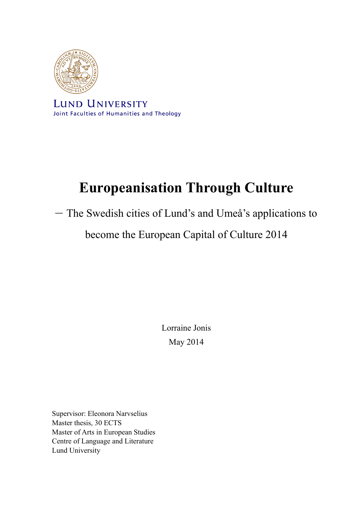

**LUND UNIVERSITY** Joint Faculties of Humanities and Theology

# **Europeanisation Through Culture**

– The Swedish cities of Lund's and Umeå's applications to

become the European Capital of Culture 2014

Lorraine Jonis May 2014

Supervisor: Eleonora Narvselius Master thesis, 30 ECTS Master of Arts in European Studies Centre of Language and Literature Lund University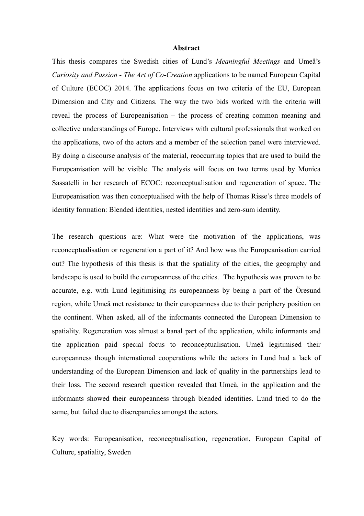#### **Abstract**

This thesis compares the Swedish cities of Lund's *Meaningful Meetings* and Umeå's *Curiosity and Passion - The Art of Co-Creation* applications to be named European Capital of Culture (ECOC) 2014. The applications focus on two criteria of the EU, European Dimension and City and Citizens. The way the two bids worked with the criteria will reveal the process of Europeanisation – the process of creating common meaning and collective understandings of Europe. Interviews with cultural professionals that worked on the applications, two of the actors and a member of the selection panel were interviewed. By doing a discourse analysis of the material, reoccurring topics that are used to build the Europeanisation will be visible. The analysis will focus on two terms used by Monica Sassatelli in her research of ECOC: reconceptualisation and regeneration of space. The Europeanisation was then conceptualised with the help of Thomas Risse's three models of identity formation: Blended identities, nested identities and zero-sum identity.

The research questions are: What were the motivation of the applications, was reconceptualisation or regeneration a part of it? And how was the Europeanisation carried out? The hypothesis of this thesis is that the spatiality of the cities, the geography and landscape is used to build the europeanness of the cities. The hypothesis was proven to be accurate, e.g. with Lund legitimising its europeanness by being a part of the Öresund region, while Umeå met resistance to their europeanness due to their periphery position on the continent. When asked, all of the informants connected the European Dimension to spatiality. Regeneration was almost a banal part of the application, while informants and the application paid special focus to reconceptualisation. Umeå legitimised their europeanness though international cooperations while the actors in Lund had a lack of understanding of the European Dimension and lack of quality in the partnerships lead to their loss. The second research question revealed that Umeå, in the application and the informants showed their europeanness through blended identities. Lund tried to do the same, but failed due to discrepancies amongst the actors.

Key words: Europeanisation, reconceptualisation, regeneration, European Capital of Culture, spatiality, Sweden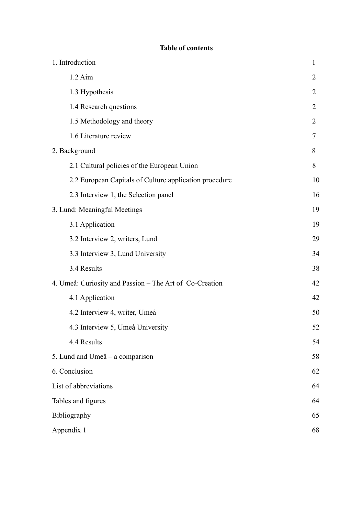| 1. Introduction                                         | $\mathbf{1}$   |
|---------------------------------------------------------|----------------|
| $1.2$ Aim                                               | $\overline{2}$ |
| 1.3 Hypothesis                                          | $\overline{2}$ |
| 1.4 Research questions                                  | $\overline{2}$ |
| 1.5 Methodology and theory                              | $\overline{2}$ |
| 1.6 Literature review                                   | $\tau$         |
| 2. Background                                           | 8              |
| 2.1 Cultural policies of the European Union             | 8              |
| 2.2 European Capitals of Culture application procedure  | 10             |
| 2.3 Interview 1, the Selection panel                    | 16             |
| 3. Lund: Meaningful Meetings                            | 19             |
| 3.1 Application                                         | 19             |
| 3.2 Interview 2, writers, Lund                          | 29             |
| 3.3 Interview 3, Lund University                        | 34             |
| 3.4 Results                                             | 38             |
| 4. Umeå: Curiosity and Passion – The Art of Co-Creation | 42             |
| 4.1 Application                                         | 42             |
| 4.2 Interview 4, writer, Umeå                           | 50             |
| 4.3 Interview 5, Umeå University                        | 52             |
| 4.4 Results                                             | 54             |
| 5. Lund and Umeå – a comparison                         | 58             |
| 6. Conclusion                                           | 62             |
| List of abbreviations                                   | 64             |
| Tables and figures                                      | 64             |
| Bibliography                                            |                |
| Appendix 1                                              |                |

# **Table of contents**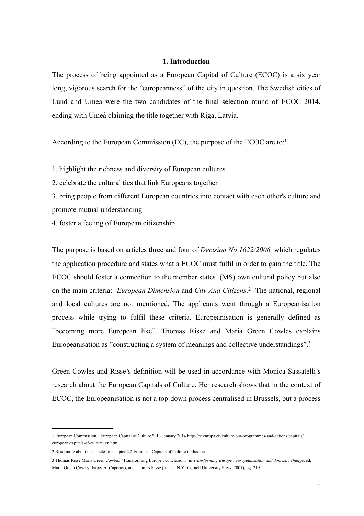## <span id="page-3-0"></span>**1. Introduction**

The process of being appointed as a European Capital of Culture (ECOC) is a six year long, vigorous search for the "europeanness" of the city in question. The Swedish cities of Lund and Umeå were the two candidates of the final selection round of ECOC 2014, ending with Umeå claiming the title together with Riga, Latvia.

According to the European Commission (EC), the purpose of the ECOC are to[:1](#page-3-1)

- 1. highlight the richness and diversity of European cultures
- 2. celebrate the cultural ties that link Europeans together
- 3. bring people from different European countries into contact with each other's culture and promote mutual understanding
- 4. foster a feeling of European citizenship

The purpose is based on articles three and four of *Decision No 1622/2006,* which regulates the application procedure and states what a ECOC must fulfil in order to gain the title. The ECOC should foster a connection to the member states' (MS) own cultural policy but also on the main criteria: *European Dimension* and *City And Citizens*. [2](#page-3-2) The national, regional and local cultures are not mentioned. The applicants went through a Europeanisation process while trying to fulfil these criteria. Europeanisation is generally defined as "becoming more European like". Thomas Risse and Maria Green Cowles explains Europeanisation as "constructing a system of meanings and collective understandings"[.3](#page-3-3)

Green Cowles and Risse's definition will be used in accordance with Monica Sassatelli's research about the European Capitals of Culture. Her research shows that in the context of ECOC, the Europeanisation is not a top-down process centralised in Brussels, but a process

<span id="page-3-1"></span><sup>1</sup> European Commission, "European Capital of Culture," 13 January 2014 http://ec.europa.eu/culture/our-programmes-and-actions/capitals/ european-capitals-of-culture\_en.htm

<span id="page-3-2"></span><sup>2</sup> Read more about the articles in chapter 2.2 European Capitals of Culture in this thesis

<span id="page-3-3"></span><sup>3</sup> Thomas Risse Maria Green Cowles, "Transforming Europe : conclusion," in *Transforming Europe : europeanization and domestic change*, ed. Maria Green Cowles, James A. Caporaso, and Thomas Risse (Ithaca, N.Y.: Cornell University Press, 2001), pg. 219.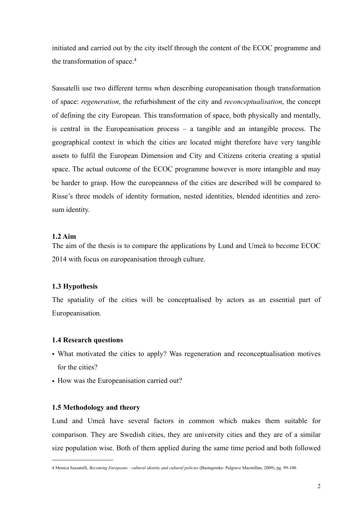initiated and carried out by the city itself through the content of the ECOC programme and the transformation of space.[4](#page-4-4)

Sassatelli use two different terms when describing europeanisation though transformation of space: *regeneration*, the refurbishment of the city and *reconceptualisation*, the concept of defining the city European. This transformation of space, both physically and mentally, is central in the Europeanisation process – a tangible and an intangible process. The geographical context in which the cities are located might therefore have very tangible assets to fulfil the European Dimension and City and Citizens criteria creating a spatial space. The actual outcome of the ECOC programme however is more intangible and may be harder to grasp. How the europeanness of the cities are described will be compared to Risse's three models of identity formation, nested identities, blended identities and zerosum identity.

# <span id="page-4-0"></span>**1.2 Aim**

The aim of the thesis is to compare the applications by Lund and Umeå to become ECOC 2014 with focus on europeanisation through culture.

## <span id="page-4-1"></span>**1.3 Hypothesis**

The spatiality of the cities will be conceptualised by actors as an essential part of Europeanisation.

#### <span id="page-4-2"></span>**1.4 Research questions**

- What motivated the cities to apply? Was regeneration and reconceptualisation motives for the cities?
- How was the Europeanisation carried out?

#### <span id="page-4-3"></span>**1.5 Methodology and theory**

Lund and Umeå have several factors in common which makes them suitable for comparison. They are Swedish cities, they are university cities and they are of a similar size population wise. Both of them applied during the same time period and both followed

<span id="page-4-4"></span><sup>4</sup> Monica Sassatelli, *Becoming Europeans : cultural identity and cultural policies* (Basingstoke: Palgrave Macmillan, 2009), pg. 99-100.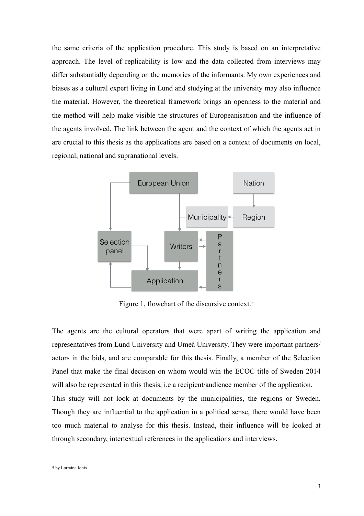the same criteria of the application procedure. This study is based on an interpretative approach. The level of replicability is low and the data collected from interviews may differ substantially depending on the memories of the informants. My own experiences and biases as a cultural expert living in Lund and studying at the university may also influence the material. However, the theoretical framework brings an openness to the material and the method will help make visible the structures of Europeanisation and the influence of the agents involved. The link between the agent and the context of which the agents act in are crucial to this thesis as the applications are based on a context of documents on local, regional, national and supranational levels.



Figure 1, flowchart of the discursive context.<sup>[5](#page-5-0)</sup>

The agents are the cultural operators that were apart of writing the application and representatives from Lund University and Umeå University. They were important partners/ actors in the bids, and are comparable for this thesis. Finally, a member of the Selection Panel that make the final decision on whom would win the ECOC title of Sweden 2014 will also be represented in this thesis, *i.e* a recipient/audience member of the application. This study will not look at documents by the municipalities, the regions or Sweden. Though they are influential to the application in a political sense, there would have been too much material to analyse for this thesis. Instead, their influence will be looked at through secondary, intertextual references in the applications and interviews.

<span id="page-5-0"></span><sup>5</sup> by Lorraine Jonis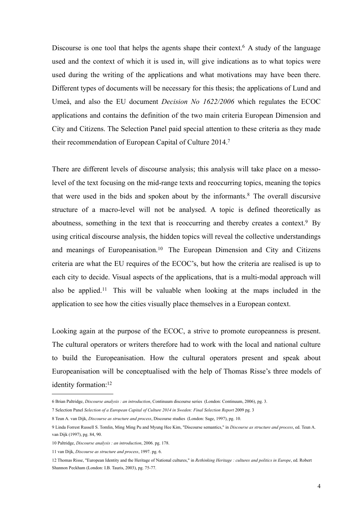Discourse is one tool that helps the agents shape their context.<sup>6</sup> A study of the language used and the context of which it is used in, will give indications as to what topics were used during the writing of the applications and what motivations may have been there. Different types of documents will be necessary for this thesis; the applications of Lund and Umeå, and also the EU document *Decision No 1622/2006* which regulates the ECOC applications and contains the definition of the two main criteria European Dimension and City and Citizens. The Selection Panel paid special attention to these criteria as they made their recommendation of European Capital of Culture 2014[.7](#page-6-1)

There are different levels of discourse analysis; this analysis will take place on a messolevel of the text focusing on the mid-range texts and reoccurring topics, meaning the topics that were used in the bids and spoken about by the informants.<sup>[8](#page-6-2)</sup> The overall discursive structure of a macro-level will not be analysed. A topic is defined theoretically as aboutness, something in the text that is reoccurring and thereby creates a context.<sup>[9](#page-6-3)</sup> By using critical discourse analysis, the hidden topics will reveal the collective understandings and meanings of Europeanisation.[10](#page-6-4) The European Dimension and City and Citizens criteria are what the EU requires of the ECOC's, but how the criteria are realised is up to each city to decide. Visual aspects of the applications, that is a multi-modal approach will also be applied.[11](#page-6-5) This will be valuable when looking at the maps included in the application to see how the cities visually place themselves in a European context.

Looking again at the purpose of the ECOC, a strive to promote europeanness is present. The cultural operators or writers therefore had to work with the local and national culture to build the Europeanisation. How the cultural operators present and speak about Europeanisation will be conceptualised with the help of Thomas Risse's three models of identity formation[:12](#page-6-6)

<span id="page-6-0"></span><sup>6</sup> Brian Paltridge, *Discourse analysis : an introduction*, Continuum discourse series (London: Continuum, 2006), pg. 3.

<span id="page-6-1"></span><sup>7</sup> Selection Panel *Selection of a European Capital of Culture 2014 in Sweden: Final Selection Report* 2009 pg. 3

<span id="page-6-2"></span><sup>8</sup> Teun A. van Dijk, *Discourse as structure and process*, Discourse studies (London: Sage, 1997), pg. 10.

<span id="page-6-3"></span><sup>9</sup> Linda Forrest Russell S. Tomlin, Ming Ming Pu and Myung Hee Kim, "Discourse semantics," in *Discourse as structure and process*, ed. Teun A. van Dijk (1997), pg. 84, 90.

<span id="page-6-4"></span><sup>10</sup> Paltridge, *Discourse analysis : an introduction*, 2006. pg. 178.

<span id="page-6-5"></span><sup>11</sup> van Dijk, *Discourse as structure and process*, 1997. pg. 6.

<span id="page-6-6"></span><sup>12</sup> Thomas Risse, "European Identity and the Heritage of National cultures," in *Rethinking Heritage : cultures and politics in Europe*, ed. Robert Shannon Peckham (London: I.B. Tauris, 2003), pg. 75-77.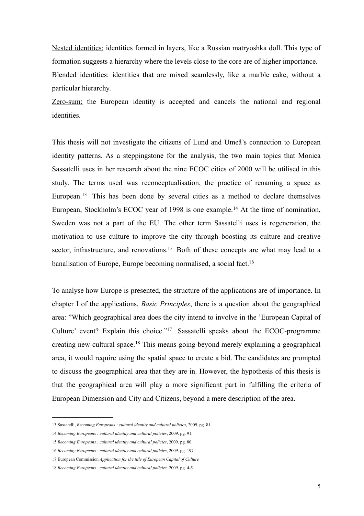Nested identities: identities formed in layers, like a Russian matryoshka doll. This type of formation suggests a hierarchy where the levels close to the core are of higher importance. Blended identities: identities that are mixed seamlessly, like a marble cake, without a particular hierarchy.

Zero-sum: the European identity is accepted and cancels the national and regional identities.

This thesis will not investigate the citizens of Lund and Umeå's connection to European identity patterns. As a steppingstone for the analysis, the two main topics that Monica Sassatelli uses in her research about the nine ECOC cities of 2000 will be utilised in this study. The terms used was reconceptualisation, the practice of renaming a space as European[.13](#page-7-0) This has been done by several cities as a method to declare themselves European, Stockholm's ECOC year of 1998 is one example.<sup>[14](#page-7-1)</sup> At the time of nomination, Sweden was not a part of the EU. The other term Sassatelli uses is regeneration, the motivation to use culture to improve the city through boosting its culture and creative sector, infrastructure, and renovations.<sup>15</sup> Both of these concepts are what may lead to a banalisation of Europe, Europe becoming normalised, a social fact.<sup>16</sup>

To analyse how Europe is presented, the structure of the applications are of importance. In chapter I of the applications, *Basic Principles*, there is a question about the geographical area: "Which geographical area does the city intend to involve in the 'European Capital of Culture' event? Explain this choice.["17](#page-7-4) Sassatelli speaks about the ECOC-programme creating new cultural space.[18](#page-7-5) This means going beyond merely explaining a geographical area, it would require using the spatial space to create a bid. The candidates are prompted to discuss the geographical area that they are in. However, the hypothesis of this thesis is that the geographical area will play a more significant part in fulfilling the criteria of European Dimension and City and Citizens, beyond a mere description of the area.

<span id="page-7-0"></span><sup>13</sup> Sassatelli, *Becoming Europeans : cultural identity and cultural policies*, 2009. pg. 81.

<span id="page-7-1"></span><sup>14</sup> *Becoming Europeans : cultural identity and cultural policies*, 2009. pg. 91.

<span id="page-7-2"></span><sup>15</sup> *Becoming Europeans : cultural identity and cultural policies*, 2009. pg. 80.

<span id="page-7-3"></span><sup>16</sup> *Becoming Europeans : cultural identity and cultural policies*, 2009. pg. 197.

<span id="page-7-4"></span><sup>17</sup> European Commission *Application for the title of European Capital of Culture* 

<span id="page-7-5"></span><sup>18</sup> *Becoming Europeans : cultural identity and cultural policies,* 2009. pg. 4-5.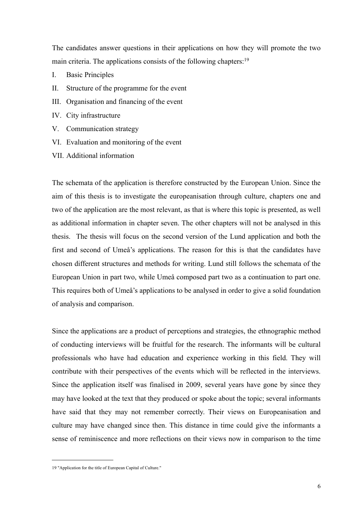The candidates answer questions in their applications on how they will promote the two main criteria. The applications consists of the following chapters[:19](#page-8-0)

- I. Basic Principles
- II. Structure of the programme for the event
- III. Organisation and financing of the event
- IV. City infrastructure
- V. Communication strategy
- VI. Evaluation and monitoring of the event
- VII. Additional information

The schemata of the application is therefore constructed by the European Union. Since the aim of this thesis is to investigate the europeanisation through culture, chapters one and two of the application are the most relevant, as that is where this topic is presented, as well as additional information in chapter seven. The other chapters will not be analysed in this thesis. The thesis will focus on the second version of the Lund application and both the first and second of Umeå's applications. The reason for this is that the candidates have chosen different structures and methods for writing. Lund still follows the schemata of the European Union in part two, while Umeå composed part two as a continuation to part one. This requires both of Umeå's applications to be analysed in order to give a solid foundation of analysis and comparison.

Since the applications are a product of perceptions and strategies, the ethnographic method of conducting interviews will be fruitful for the research. The informants will be cultural professionals who have had education and experience working in this field. They will contribute with their perspectives of the events which will be reflected in the interviews. Since the application itself was finalised in 2009, several years have gone by since they may have looked at the text that they produced or spoke about the topic; several informants have said that they may not remember correctly. Their views on Europeanisation and culture may have changed since then. This distance in time could give the informants a sense of reminiscence and more reflections on their views now in comparison to the time

<span id="page-8-0"></span><sup>19</sup> "Application for the title of European Capital of Culture."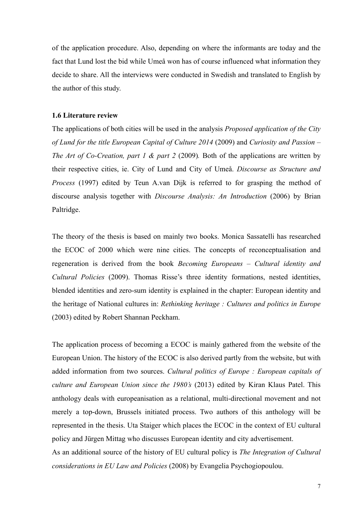of the application procedure. Also, depending on where the informants are today and the fact that Lund lost the bid while Umeå won has of course influenced what information they decide to share. All the interviews were conducted in Swedish and translated to English by the author of this study.

#### <span id="page-9-0"></span>**1.6 Literature review**

The applications of both cities will be used in the analysis *Proposed application of the City of Lund for the title European Capital of Culture 2014* (2009) and *Curiosity and Passion – The Art of Co-Creation, part 1 & part 2 (2009).* Both of the applications are written by their respective cities, ie. City of Lund and City of Umeå. *Discourse as Structure and Process* (1997) edited by Teun A.van Dijk is referred to for grasping the method of discourse analysis together with *Discourse Analysis: An Introduction* (2006) by Brian Paltridge.

The theory of the thesis is based on mainly two books. Monica Sassatelli has researched the ECOC of 2000 which were nine cities. The concepts of reconceptualisation and regeneration is derived from the book *Becoming Europeans – Cultural identity and Cultural Policies* (2009). Thomas Risse's three identity formations, nested identities, blended identities and zero-sum identity is explained in the chapter: European identity and the heritage of National cultures in: *Rethinking heritage : Cultures and politics in Europe*  (2003) edited by Robert Shannan Peckham.

The application process of becoming a ECOC is mainly gathered from the website of the European Union. The history of the ECOC is also derived partly from the website, but with added information from two sources. *Cultural politics of Europe : European capitals of culture and European Union since the 1980's* (2013) edited by Kiran Klaus Patel. This anthology deals with europeanisation as a relational, multi-directional movement and not merely a top-down, Brussels initiated process. Two authors of this anthology will be represented in the thesis. Uta Staiger which places the ECOC in the context of EU cultural policy and Jürgen Mittag who discusses European identity and city advertisement. As an additional source of the history of EU cultural policy is *The Integration of Cultural considerations in EU Law and Policies* (2008) by Evangelia Psychogiopoulou.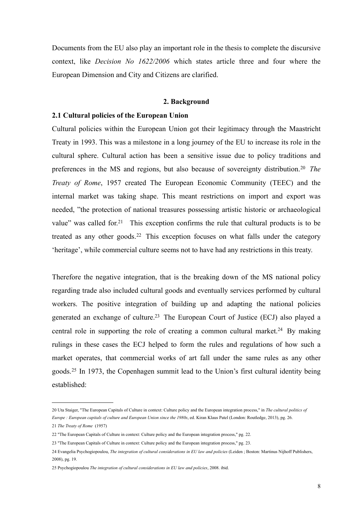Documents from the EU also play an important role in the thesis to complete the discursive context, like *Decision No 1622/2006* which states article three and four where the European Dimension and City and Citizens are clarified.

#### <span id="page-10-0"></span>**2. Background**

#### <span id="page-10-1"></span>**2.1 Cultural policies of the European Union**

Cultural policies within the European Union got their legitimacy through the Maastricht Treaty in 1993. This was a milestone in a long journey of the EU to increase its role in the cultural sphere. Cultural action has been a sensitive issue due to policy traditions and preferences in the MS and regions, but also because of sovereignty distribution.[20](#page-10-2) *The Treaty of Rome*, 1957 created The European Economic Community (TEEC) and the internal market was taking shape. This meant restrictions on import and export was needed, "the protection of national treasures possessing artistic historic or archaeological value" was called for.<sup>[21](#page-10-3)</sup> This exception confirms the rule that cultural products is to be treated as any other goods.<sup>[22](#page-10-4)</sup> This exception focuses on what falls under the category 'heritage', while commercial culture seems not to have had any restrictions in this treaty.

Therefore the negative integration, that is the breaking down of the MS national policy regarding trade also included cultural goods and eventually services performed by cultural workers. The positive integration of building up and adapting the national policies generated an exchange of culture[.23](#page-10-5) The European Court of Justice (ECJ) also played a central role in supporting the role of creating a common cultural market.<sup>24</sup> By making rulings in these cases the ECJ helped to form the rules and regulations of how such a market operates, that commercial works of art fall under the same rules as any other goods.[25](#page-10-7) In 1973, the Copenhagen summit lead to the Union's first cultural identity being established:

<span id="page-10-2"></span><sup>20</sup> Uta Staiger, "The European Capitals of Culture in context: Culture policy and the European integration process," in *The cultural politics of Europe : European capitals of culture and European Union since the 1980s*, ed. Kiran Klaus Patel (London: Routledge, 2013), pg. 26.

<span id="page-10-3"></span><sup>21</sup> *The Treaty of Rome* (1957)

<span id="page-10-4"></span><sup>22</sup> "The European Capitals of Culture in context: Culture policy and the European integration process," pg. 22.

<span id="page-10-5"></span><sup>23</sup> "The European Capitals of Culture in context: Culture policy and the European integration process," pg. 23.

<span id="page-10-6"></span><sup>24</sup> Evangelia Psychogiopoulou, *The integration of cultural considerations in EU law and policies* (Leiden ; Boston: Martinus Nijhoff Publishers, 2008), pg. 19.

<span id="page-10-7"></span><sup>25</sup> Psychogiopoulou *The integration of cultural considerations in EU law and policies*, 2008. ibid.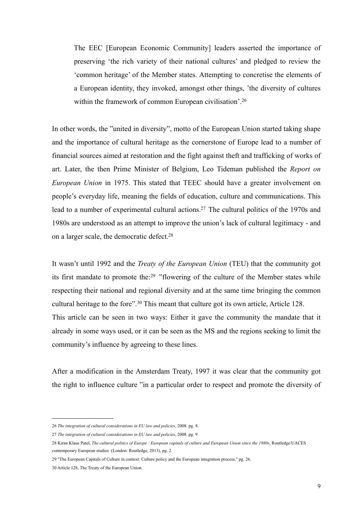The EEC [European Economic Community] leaders asserted the importance of preserving 'the rich variety of their national cultures' and pledged to review the 'common heritage' of the Member states. Attempting to concretise the elements of a European identity, they invoked, amongst other things, 'the diversity of cultures within the framework of common European civilisation'.<sup>26</sup>

In other words, the "united in diversity", motto of the European Union started taking shape and the importance of cultural heritage as the cornerstone of Europe lead to a number of financial sources aimed at restoration and the fight against theft and trafficking of works of art. Later, the then Prime Minister of Belgium, Leo Tideman published the *Report on European Union* in 1975. This stated that TEEC should have a greater involvement on people's everyday life, meaning the fields of education, culture and communications. This lead to a number of experimental cultural actions.<sup>27</sup> The cultural politics of the 1970s and 1980s are understood as an attempt to improve the union's lack of cultural legitimacy - and on a larger scale, the democratic defect[.28](#page-11-2)

It wasn't until 1992 and the *Treaty of the European Union* (TEU) that the community got its first mandate to promote the:[29](#page-11-3) "flowering of the culture of the Member states while respecting their national and regional diversity and at the same time bringing the common cultural heritage to the fore".[30](#page-11-4) This meant that culture got its own article, Article 128. This article can be seen in two ways: Either it gave the community the mandate that it already in some ways used, or it can be seen as the MS and the regions seeking to limit the community's influence by agreeing to these lines.

After a modification in the Amsterdam Treaty, 1997 it was clear that the community got the right to influence culture "in a particular order to respect and promote the diversity of

<span id="page-11-0"></span><sup>26</sup> *The integration of cultural considerations in EU law and policies*, 2008. pg. 8.

<span id="page-11-1"></span><sup>27</sup> *The integration of cultural considerations in EU law and policies*, 2008. pg. 9

<span id="page-11-2"></span><sup>28</sup> Kiran Klaus Patel, *The cultural politics of Europe : European capitals of culture and European Union since the 1980s*, Routledge/UACES contemporary European studies (London: Routledge, 2013), pg. 2.

<span id="page-11-3"></span><sup>29</sup> "The European Capitals of Culture in context: Culture policy and the European integration process," pg. 26.

<span id="page-11-4"></span><sup>30</sup> Article 128, The Treaty of the European Union.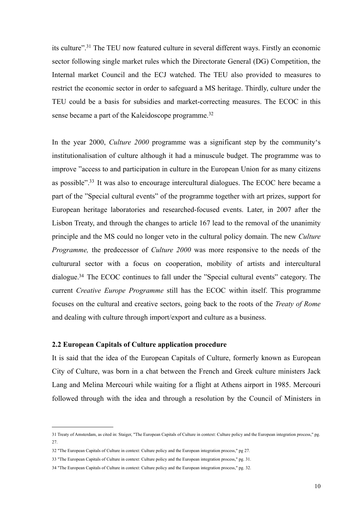its culture"[.31](#page-12-1) The TEU now featured culture in several different ways. Firstly an economic sector following single market rules which the Directorate General (DG) Competition, the Internal market Council and the ECJ watched. The TEU also provided to measures to restrict the economic sector in order to safeguard a MS heritage. Thirdly, culture under the TEU could be a basis for subsidies and market-correcting measures. The ECOC in this sense became a part of the Kaleidoscope programme.[32](#page-12-2)

In the year 2000, *Culture 2000* programme was a significant step by the community's institutionalisation of culture although it had a minuscule budget. The programme was to improve "access to and participation in culture in the European Union for as many citizens as possible"[.33](#page-12-3) It was also to encourage intercultural dialogues. The ECOC here became a part of the "Special cultural events" of the programme together with art prizes, support for European heritage laboratories and researched-focused events. Later, in 2007 after the Lisbon Treaty, and through the changes to article 167 lead to the removal of the unanimity principle and the MS could no longer veto in the cultural policy domain. The new *Culture Programme,* the predecessor of *Culture 2000* was more responsive to the needs of the culturural sector with a focus on cooperation, mobility of artists and intercultural dialogue[.34](#page-12-4) The ECOC continues to fall under the "Special cultural events" category. The current *Creative Europe Programme* still has the ECOC within itself. This programme focuses on the cultural and creative sectors, going back to the roots of the *Treaty of Rome* and dealing with culture through import/export and culture as a business.

#### <span id="page-12-0"></span>**2.2 European Capitals of Culture application procedure**

It is said that the idea of the European Capitals of Culture, formerly known as European City of Culture, was born in a chat between the French and Greek culture ministers Jack Lang and Melina Mercouri while waiting for a flight at Athens airport in 1985. Mercouri followed through with the idea and through a resolution by the Council of Ministers in

<span id="page-12-1"></span><sup>31</sup> Treaty of Amsterdam, as cited in: Staiger, "The European Capitals of Culture in context: Culture policy and the European integration process," pg. 27.

<span id="page-12-2"></span><sup>32</sup> "The European Capitals of Culture in context: Culture policy and the European integration process," pg 27.

<span id="page-12-3"></span><sup>33</sup> "The European Capitals of Culture in context: Culture policy and the European integration process," pg. 31.

<span id="page-12-4"></span><sup>34</sup> "The European Capitals of Culture in context: Culture policy and the European integration process," pg. 32.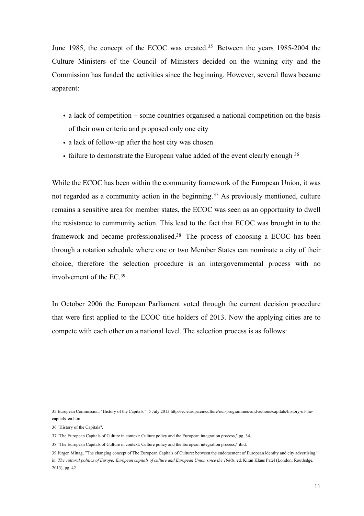June 1985, the concept of the ECOC was created.<sup>[35](#page-13-0)</sup> Between the years 1985-2004 the Culture Ministers of the Council of Ministers decided on the winning city and the Commission has funded the activities since the beginning. However, several flaws became apparent:

- a lack of competition some countries organised a national competition on the basis of their own criteria and proposed only one city
- a lack of follow-up after the host city was chosen
- failure to demonstrate the European value added of the event clearly enough [36](#page-13-1)

While the ECOC has been within the community framework of the European Union, it was not regarded as a community action in the beginning.<sup>[37](#page-13-2)</sup> As previously mentioned, culture remains a sensitive area for member states, the ECOC was seen as an opportunity to dwell the resistance to community action. This lead to the fact that ECOC was brought in to the framework and became professionalised[.38](#page-13-3) The process of choosing a ECOC has been through a rotation schedule where one or two Member States can nominate a city of their choice, therefore the selection procedure is an intergovernmental process with no involvement of the EC[.39](#page-13-4)

In October 2006 the European Parliament voted through the current decision procedure that were first applied to the ECOC title holders of 2013. Now the applying cities are to compete with each other on a national level. The selection process is as follows:

<span id="page-13-0"></span><sup>35</sup> European Commission, "History of the Capitals," 5 July 2013 http://ec.europa.eu/culture/our-programmes-and-actions/capitals/history-of-thecapitals\_en.htm.

<span id="page-13-1"></span><sup>36</sup> "History of the Capitals".

<span id="page-13-2"></span><sup>37</sup> "The European Capitals of Culture in context: Culture policy and the European integration process," pg. 34.

<span id="page-13-3"></span><sup>38</sup> "The European Capitals of Culture in context: Culture policy and the European integration process," ibid.

<span id="page-13-4"></span><sup>39</sup> Jürgen Mittag, "The changing concept of The European Capitals of Culture: between the endorsement of European identity and city advertising," in: *The cultural politics of Europe: European capitals of culture and European Union since the 1980s*, ed. Kiran Klaus Patel (London: Routledge, 2013), pg. 42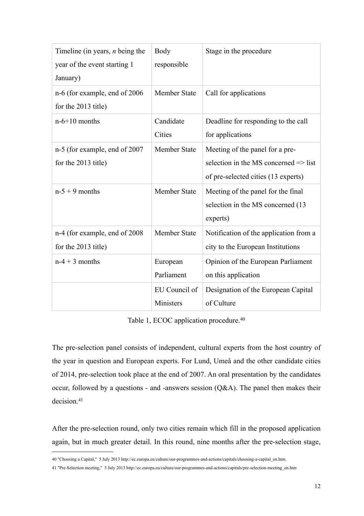| Timeline (in years, $n$ being the<br>year of the event starting 1<br>January) | Body<br>responsible        | Stage in the procedure                                                                                                     |
|-------------------------------------------------------------------------------|----------------------------|----------------------------------------------------------------------------------------------------------------------------|
| n-6 (for example, end of 2006)<br>for the 2013 title)                         | Member State               | Call for applications                                                                                                      |
| $n-6+10$ months                                                               | Candidate<br>Cities        | Deadline for responding to the call<br>for applications                                                                    |
| n-5 (for example, end of 2007<br>for the 2013 title)                          | <b>Member State</b>        | Meeting of the panel for a pre-<br>selection in the MS concerned $\Rightarrow$ list<br>of pre-selected cities (13 experts) |
| $n-5+9$ months                                                                | Member State               | Meeting of the panel for the final<br>selection in the MS concerned (13<br>experts)                                        |
| n-4 (for example, end of 2008)<br>for the 2013 title)                         | Member State               | Notification of the application from a<br>city to the European Institutions                                                |
| $n-4+3$ months                                                                | European<br>Parliament     | Opinion of the European Parliament<br>on this application                                                                  |
|                                                                               | EU Council of<br>Ministers | Designation of the European Capital<br>of Culture                                                                          |

Table 1, ECOC application procedure.<sup>[40](#page-14-0)</sup>

The pre-selection panel consists of independent, cultural experts from the host country of the year in question and European experts. For Lund, Umeå and the other candidate cities of 2014, pre-selection took place at the end of 2007. An oral presentation by the candidates occur, followed by a questions - and -answers session  $(Q&A)$ . The panel then makes their decision.<sup>41</sup>

After the pre-selection round, only two cities remain which fill in the proposed application again, but in much greater detail. In this round, nine months after the pre-selection stage,

<span id="page-14-0"></span><sup>40</sup> "Choosing a Capital," 5 July 2013 http://ec.europa.eu/culture/our-programmes-and-actions/capitals/choosing-a-capital\_en.htm.

<span id="page-14-1"></span><sup>41</sup> "Pre-Selection meeting," 5 July 2013 http://ec.europa.eu/culture/our-programmes-and-actions/capitals/pre-selection-meeting\_en.htm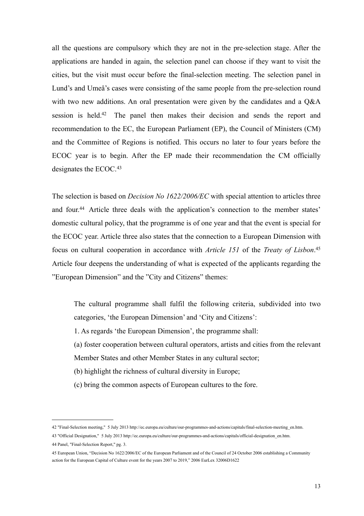all the questions are compulsory which they are not in the pre-selection stage. After the applications are handed in again, the selection panel can choose if they want to visit the cities, but the visit must occur before the final-selection meeting. The selection panel in Lund's and Umeå's cases were consisting of the same people from the pre-selection round with two new additions. An oral presentation were given by the candidates and a  $Q\&A$ session is held[.42](#page-15-0) The panel then makes their decision and sends the report and recommendation to the EC, the European Parliament (EP), the Council of Ministers (CM) and the Committee of Regions is notified. This occurs no later to four years before the ECOC year is to begin. After the EP made their recommendation the CM officially designates the ECOC.<sup>[43](#page-15-1)</sup>

The selection is based on *Decision No 1622/2006/EC* with special attention to articles three and four.<sup>44</sup> Article three deals with the application's connection to the member states' domestic cultural policy, that the programme is of one year and that the event is special for the ECOC year. Article three also states that the connection to a European Dimension with focus on cultural cooperation in accordance with *Article 151* of the *Treaty of Lisbon*. [45](#page-15-3) Article four deepens the understanding of what is expected of the applicants regarding the "European Dimension" and the "City and Citizens" themes:

 The cultural programme shall fulfil the following criteria, subdivided into two categories, 'the European Dimension' and 'City and Citizens':

1. As regards 'the European Dimension', the programme shall:

 (a) foster cooperation between cultural operators, artists and cities from the relevant Member States and other Member States in any cultural sector;

- (b) highlight the richness of cultural diversity in Europe;
- (c) bring the common aspects of European cultures to the fore.

<span id="page-15-0"></span><sup>42</sup> "Final-Selection meeting," 5 July 2013 http://ec.europa.eu/culture/our-programmes-and-actions/capitals/final-selection-meeting\_en.htm.

<span id="page-15-1"></span><sup>43</sup> "Official Designation," 5 July 2013 http://ec.europa.eu/culture/our-programmes-and-actions/capitals/official-designation\_en.htm.

<span id="page-15-2"></span><sup>44</sup> Panel, "Final-Selection Report," pg. 3.

<span id="page-15-3"></span><sup>45</sup> European Union, "Decision No 1622/2006/EC of the European Parliament and of the Council of 24 October 2006 establishing a Community action for the European Capital of Culture event for the years 2007 to 2019," 2006 EurLex 32006D1622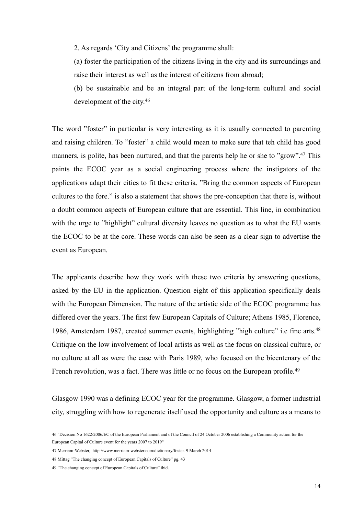2. As regards 'City and Citizens' the programme shall:

 (a) foster the participation of the citizens living in the city and its surroundings and raise their interest as well as the interest of citizens from abroad;

 (b) be sustainable and be an integral part of the long-term cultural and social development of the city.[46](#page-16-0)

The word "foster" in particular is very interesting as it is usually connected to parenting and raising children. To "foster" a child would mean to make sure that teh child has good manners, is polite, has been nurtured, and that the parents help he or she to "grow"[.47](#page-16-1) This paints the ECOC year as a social engineering process where the instigators of the applications adapt their cities to fit these criteria. "Bring the common aspects of European cultures to the fore." is also a statement that shows the pre-conception that there is, without a doubt common aspects of European culture that are essential. This line, in combination with the urge to "highlight" cultural diversity leaves no question as to what the EU wants the ECOC to be at the core. These words can also be seen as a clear sign to advertise the event as European.

The applicants describe how they work with these two criteria by answering questions, asked by the EU in the application. Question eight of this application specifically deals with the European Dimension. The nature of the artistic side of the ECOC programme has differed over the years. The first few European Capitals of Culture; Athens 1985, Florence, 1986, Amsterdam 1987, created summer events, highlighting "high culture" i.e fine arts[.48](#page-16-2) Critique on the low involvement of local artists as well as the focus on classical culture, or no culture at all as were the case with Paris 1989, who focused on the bicentenary of the French revolution, was a fact. There was little or no focus on the European profile.<sup>[49](#page-16-3)</sup>

Glasgow 1990 was a defining ECOC year for the programme. Glasgow, a former industrial city, struggling with how to regenerate itself used the opportunity and culture as a means to

<span id="page-16-0"></span><sup>46</sup> "Decision No 1622/2006/EC of the European Parliament and of the Council of 24 October 2006 establishing a Community action for the European Capital of Culture event for the years 2007 to 2019"

<span id="page-16-1"></span><sup>47</sup> Merriam-Webster, http://www.merriam-webster.com/dictionary/foster. 9 March 2014

<span id="page-16-2"></span><sup>48</sup> Mittag "The changing concept of European Capitals of Culture" pg. 43

<span id="page-16-3"></span><sup>49 &</sup>quot;The changing concept of European Capitals of Culture" ibid.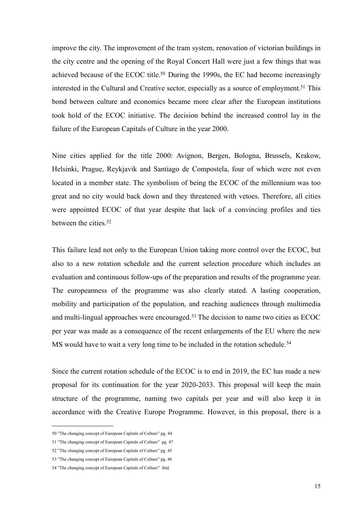improve the city. The improvement of the tram system, renovation of victorian buildings in the city centre and the opening of the Royal Concert Hall were just a few things that was achieved because of the ECOC title.<sup>50</sup> During the 1990s, the EC had become increasingly interested in the Cultural and Creative sector, especially as a source of employment.<sup>51</sup> This bond between culture and economics became more clear after the European institutions took hold of the ECOC initiative. The decision behind the increased control lay in the failure of the European Capitals of Culture in the year 2000.

Nine cities applied for the title 2000: Avignon, Bergen, Bologna, Brussels, Krakow, Helsinki, Prague, Reykjavik and Santiago de Compostela, four of which were not even located in a member state. The symbolism of being the ECOC of the millennium was too great and no city would back down and they threatened with vetoes. Therefore, all cities were appointed ECOC of that year despite that lack of a convincing profiles and ties between the cities.<sup>[52](#page-17-2)</sup>

This failure lead not only to the European Union taking more control over the ECOC, but also to a new rotation schedule and the current selection procedure which includes an evaluation and continuous follow-ups of the preparation and results of the programme year. The europeanness of the programme was also clearly stated. A lasting cooperation, mobility and participation of the population, and reaching audiences through multimedia and multi-lingual approaches were encouraged.<sup>53</sup> The decision to name two cities as ECOC per year was made as a consequence of the recent enlargements of the EU where the new MS would have to wait a very long time to be included in the rotation schedule.<sup>[54](#page-17-4)</sup>

Since the current rotation schedule of the ECOC is to end in 2019, the EC has made a new proposal for its continuation for the year 2020-2033. This proposal will keep the main structure of the programme, naming two capitals per year and will also keep it in accordance with the Creative Europe Programme. However, in this proposal, there is a

<span id="page-17-0"></span><sup>50 &</sup>quot;The changing concept of European Capitals of Culture" pg. 44

<span id="page-17-1"></span><sup>51 &</sup>quot;The changing concept of European Capitals of Culture" pg. 47

<span id="page-17-2"></span><sup>52 &</sup>quot;The changing concept of European Capitals of Culture" pg. 45

<span id="page-17-3"></span><sup>53 &</sup>quot;The changing concept of European Capitals of Culture" pg. 46

<span id="page-17-4"></span><sup>54 &</sup>quot;The changing concept of European Capitals of Culture" ibid.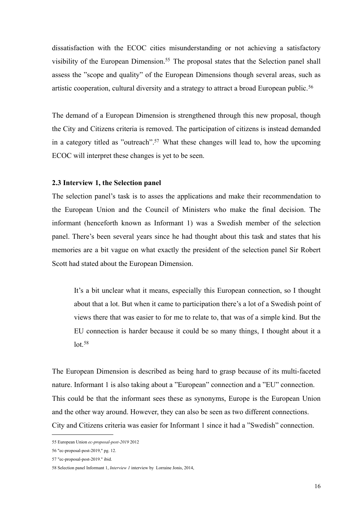dissatisfaction with the ECOC cities misunderstanding or not achieving a satisfactory visibility of the European Dimension[.55](#page-18-1) The proposal states that the Selection panel shall assess the "scope and quality" of the European Dimensions though several areas, such as artistic cooperation, cultural diversity and a strategy to attract a broad European public.<sup>[56](#page-18-2)</sup>

The demand of a European Dimension is strengthened through this new proposal, though the City and Citizens criteria is removed. The participation of citizens is instead demanded in a category titled as "outreach".<sup>57</sup> What these changes will lead to, how the upcoming ECOC will interpret these changes is yet to be seen.

#### <span id="page-18-0"></span>**2.3 Interview 1, the Selection panel**

The selection panel's task is to asses the applications and make their recommendation to the European Union and the Council of Ministers who make the final decision. The informant (henceforth known as Informant 1) was a Swedish member of the selection panel. There's been several years since he had thought about this task and states that his memories are a bit vague on what exactly the president of the selection panel Sir Robert Scott had stated about the European Dimension.

 It's a bit unclear what it means, especially this European connection, so I thought about that a lot. But when it came to participation there's a lot of a Swedish point of views there that was easier to for me to relate to, that was of a simple kind. But the EU connection is harder because it could be so many things, I thought about it a  $lot.58$  $lot.58$ 

The European Dimension is described as being hard to grasp because of its multi-faceted nature. Informant 1 is also taking about a "European" connection and a "EU" connection. This could be that the informant sees these as synonyms, Europe is the European Union and the other way around. However, they can also be seen as two different connections. City and Citizens criteria was easier for Informant 1 since it had a "Swedish" connection.

<span id="page-18-1"></span><sup>55</sup> European Union *ec-proposal-post-2019* 2012

<span id="page-18-2"></span><sup>56</sup> "ec-proposal-post-2019," pg. 12.

<span id="page-18-3"></span><sup>57</sup> "ec-proposal-post-2019." ibid.

<span id="page-18-4"></span><sup>58</sup> Selection panel Informant 1, *Interview 1* interview by Lorraine Jonis, 2014,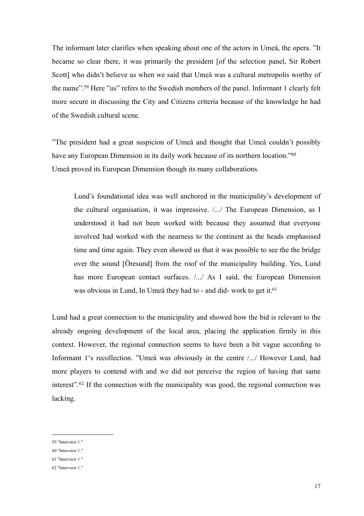The informant later clarifies when speaking about one of the actors in Umeå, the opera. "It became so clear there, it was primarily the president [of the selection panel, Sir Robert Scott] who didn't believe us when we said that Umeå was a cultural metropolis worthy of the name"[.59](#page-19-0) Here "us" refers to the Swedish members of the panel. Informant 1 clearly felt more secure in discussing the City and Citizens criteria because of the knowledge he had of the Swedish cultural scene.

"The president had a great suspicion of Umeå and thought that Umeå couldn't possibly have any European Dimension in its daily work because of its northern location."<sup>[60](#page-19-1)</sup> Umeå proved its European Dimension though its many collaborations.

 Lund's foundational idea was well anchored in the municipality's development of the cultural organisation, it was impressive. /.../ The European Dimension, as I understood it had not been worked with because they assumed that everyone involved had worked with the nearness to the continent as the heads emphasised time and time again. They even showed us that it was possible to see the the bridge over the sound [Öresund] from the roof of the municipality building. Yes, Lund has more European contact surfaces.  $/$ .../ As I said, the European Dimension was obvious in Lund, In Umeå they had to - and did- work to get it.<sup>61</sup>

Lund had a great connection to the municipality and showed how the bid is relevant to the already ongoing development of the local area, placing the application firmly in this context. However, the regional connection seems to have been a bit vague according to Informant 1's recollection. "Umeå was obviously in the centre /.../ However Lund, had more players to contend with and we did not perceive the region of having that same interest".[62](#page-19-3) If the connection with the municipality was good, the regional connection was lacking.

<span id="page-19-0"></span><sup>59</sup> "Interview 1."

<span id="page-19-1"></span><sup>60</sup> "Interview 1."

<span id="page-19-2"></span><sup>61</sup> "Interview 1."

<span id="page-19-3"></span><sup>62</sup> "Interview 1."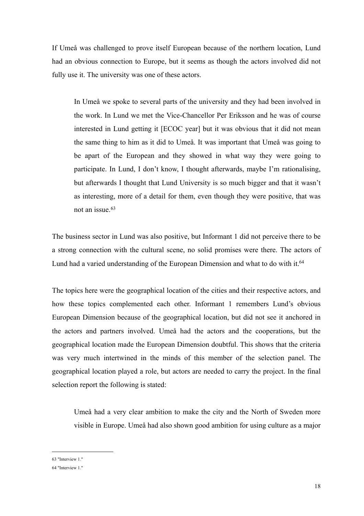If Umeå was challenged to prove itself European because of the northern location, Lund had an obvious connection to Europe, but it seems as though the actors involved did not fully use it. The university was one of these actors.

 In Umeå we spoke to several parts of the university and they had been involved in the work. In Lund we met the Vice-Chancellor Per Eriksson and he was of course interested in Lund getting it [ECOC year] but it was obvious that it did not mean the same thing to him as it did to Umeå. It was important that Umeå was going to be apart of the European and they showed in what way they were going to participate. In Lund, I don't know, I thought afterwards, maybe I'm rationalising, but afterwards I thought that Lund University is so much bigger and that it wasn't as interesting, more of a detail for them, even though they were positive, that was not an issue.[63](#page-20-0) 

The business sector in Lund was also positive, but Informant 1 did not perceive there to be a strong connection with the cultural scene, no solid promises were there. The actors of Lund had a varied understanding of the European Dimension and what to do with it.<sup>64</sup>

The topics here were the geographical location of the cities and their respective actors, and how these topics complemented each other. Informant 1 remembers Lund's obvious European Dimension because of the geographical location, but did not see it anchored in the actors and partners involved. Umeå had the actors and the cooperations, but the geographical location made the European Dimension doubtful. This shows that the criteria was very much intertwined in the minds of this member of the selection panel. The geographical location played a role, but actors are needed to carry the project. In the final selection report the following is stated:

 Umeå had a very clear ambition to make the city and the North of Sweden more visible in Europe. Umeå had also shown good ambition for using culture as a major

<span id="page-20-0"></span>63 "Interview 1."

<span id="page-20-1"></span><sup>64</sup> "Interview 1."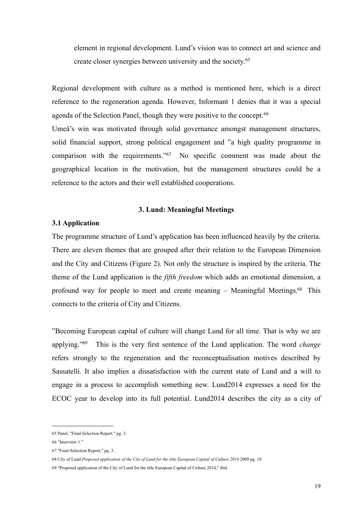element in regional development. Lund's vision was to connect art and science and create closer synergies between university and the society.[65](#page-21-2)

Regional development with culture as a method is mentioned here, which is a direct reference to the regeneration agenda. However, Informant 1 denies that it was a special agenda of the Selection Panel, though they were positive to the concept.<sup>[66](#page-21-3)</sup> Umeå's win was motivated through solid governance amongst management structures, solid financial support, strong political engagement and "a high quality programme in comparison with the requirements.["67](#page-21-4) No specific comment was made about the geographical location in the motivation, but the management structures could be a reference to the actors and their well established cooperations.

#### <span id="page-21-0"></span>**3. Lund: Meaningful Meetings**

#### <span id="page-21-1"></span>**3.1 Application**

The programme structure of Lund's application has been influenced heavily by the criteria. There are eleven themes that are grouped after their relation to the European Dimension and the City and Citizens (Figure 2). Not only the structure is inspired by the criteria. The theme of the Lund application is the *fifth freedom* which adds an emotional dimension, a profound way for people to meet and create meaning – Meaningful Meetings[.68](#page-21-5) This connects to the criteria of City and Citizens.

"Becoming European capital of culture will change Lund for all time. That is why we are applying.["69](#page-21-6) This is the very first sentence of the Lund application. The word *change* refers strongly to the regeneration and the reconceptualisation motives described by Sassatelli. It also implies a dissatisfaction with the current state of Lund and a will to engage in a process to accomplish something new. Lund2014 expresses a need for the ECOC year to develop into its full potential. Lund2014 describes the city as a city of

<span id="page-21-2"></span><sup>65</sup> Panel, "Final-Selection Report." pg. 3.

<span id="page-21-3"></span><sup>66 &</sup>quot;Interview 1."

<span id="page-21-4"></span><sup>67</sup> "Final-Selection Report," pg. 3.

<span id="page-21-5"></span><sup>68</sup> City of Lund *Proposed application of the City of Lund for the title European Capital of Culture 2014* 2009 pg. 18.

<span id="page-21-6"></span><sup>69</sup> "Proposed application of the City of Lund for the title European Capital of Culture 2014," ibid.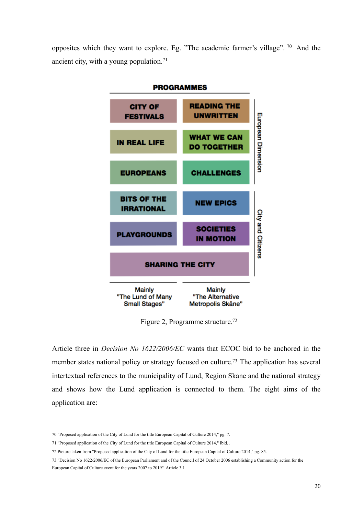opposites which they want to explore. Eg. "The academic farmer's village". [70](#page-22-0) And the ancient city, with a young population.<sup>[71](#page-22-1)</sup>



Figure 2, Programme structure[.72](#page-22-2)

Article three in *Decision No 1622/2006/EC* wants that ECOC bid to be anchored in the member states national policy or strategy focused on culture[.73](#page-22-3) The application has several intertextual references to the municipality of Lund, Region Skåne and the national strategy and shows how the Lund application is connected to them. The eight aims of the application are:

<span id="page-22-0"></span><sup>70</sup> "Proposed application of the City of Lund for the title European Capital of Culture 2014," pg. 7.

<span id="page-22-1"></span><sup>71</sup> "Proposed application of the City of Lund for the title European Capital of Culture 2014," ibid. .

<span id="page-22-2"></span><sup>72</sup> Picture taken from "Proposed application of the City of Lund for the title European Capital of Culture 2014," pg. 85.

<span id="page-22-3"></span><sup>73</sup> "Decision No 1622/2006/EC of the European Parliament and of the Council of 24 October 2006 establishing a Community action for the European Capital of Culture event for the years 2007 to 2019" Article 3.1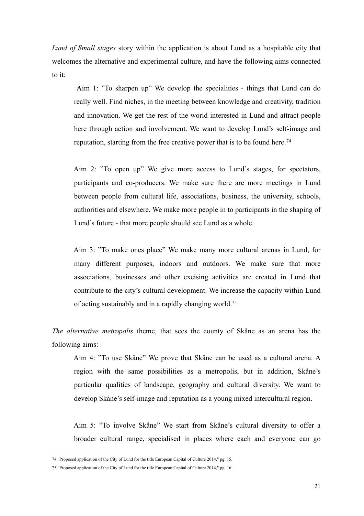*Lund of Small stages* story within the application is about Lund as a hospitable city that welcomes the alternative and experimental culture, and have the following aims connected to it:

 Aim 1: "To sharpen up" We develop the specialities - things that Lund can do really well. Find niches, in the meeting between knowledge and creativity, tradition and innovation. We get the rest of the world interested in Lund and attract people here through action and involvement. We want to develop Lund's self-image and reputation, starting from the free creative power that is to be found here.<sup>[74](#page-23-0)</sup>

 Aim 2: "To open up" We give more access to Lund's stages, for spectators, participants and co-producers. We make sure there are more meetings in Lund between people from cultural life, associations, business, the university, schools, authorities and elsewhere. We make more people in to participants in the shaping of Lund's future - that more people should see Lund as a whole.

 Aim 3: "To make ones place" We make many more cultural arenas in Lund, for many different purposes, indoors and outdoors. We make sure that more associations, businesses and other excising activities are created in Lund that contribute to the city's cultural development. We increase the capacity within Lund of acting sustainably and in a rapidly changing world[.75](#page-23-1)

*The alternative metropolis* theme, that sees the county of Skåne as an arena has the following aims:

 Aim 4: "To use Skåne" We prove that Skåne can be used as a cultural arena. A region with the same possibilities as a metropolis, but in addition, Skåne's particular qualities of landscape, geography and cultural diversity. We want to develop Skåne's self-image and reputation as a young mixed intercultural region.

 Aim 5: "To involve Skåne" We start from Skåne's cultural diversity to offer a broader cultural range, specialised in places where each and everyone can go

<span id="page-23-0"></span><sup>74</sup> "Proposed application of the City of Lund for the title European Capital of Culture 2014," pg. 15.

<span id="page-23-1"></span><sup>75</sup> "Proposed application of the City of Lund for the title European Capital of Culture 2014," pg. 16.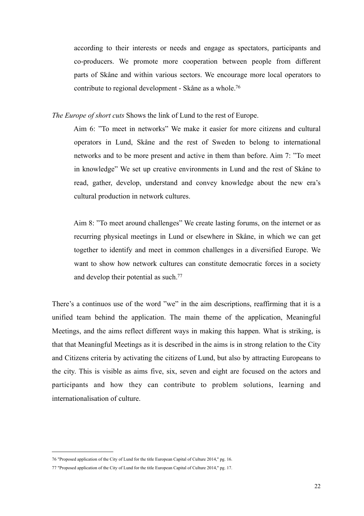according to their interests or needs and engage as spectators, participants and co-producers. We promote more cooperation between people from different parts of Skåne and within various sectors. We encourage more local operators to contribute to regional development - Skåne as a whole[.76](#page-24-0)

*The Europe of short cuts* Shows the link of Lund to the rest of Europe.

 Aim 6: "To meet in networks" We make it easier for more citizens and cultural operators in Lund, Skåne and the rest of Sweden to belong to international networks and to be more present and active in them than before. Aim 7: "To meet in knowledge" We set up creative environments in Lund and the rest of Skåne to read, gather, develop, understand and convey knowledge about the new era's cultural production in network cultures.

 Aim 8: "To meet around challenges" We create lasting forums, on the internet or as recurring physical meetings in Lund or elsewhere in Skåne, in which we can get together to identify and meet in common challenges in a diversified Europe. We want to show how network cultures can constitute democratic forces in a society and develop their potential as such[.77](#page-24-1)

There's a continuos use of the word "we" in the aim descriptions, reaffirming that it is a unified team behind the application. The main theme of the application, Meaningful Meetings, and the aims reflect different ways in making this happen. What is striking, is that that Meaningful Meetings as it is described in the aims is in strong relation to the City and Citizens criteria by activating the citizens of Lund, but also by attracting Europeans to the city. This is visible as aims five, six, seven and eight are focused on the actors and participants and how they can contribute to problem solutions, learning and internationalisation of culture.

<span id="page-24-0"></span><sup>76</sup> "Proposed application of the City of Lund for the title European Capital of Culture 2014," pg. 16.

<span id="page-24-1"></span><sup>77</sup> "Proposed application of the City of Lund for the title European Capital of Culture 2014," pg. 17.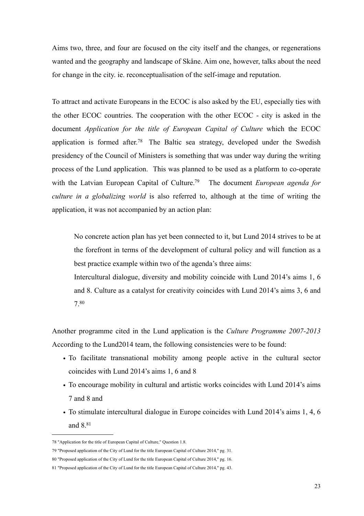Aims two, three, and four are focused on the city itself and the changes, or regenerations wanted and the geography and landscape of Skåne. Aim one, however, talks about the need for change in the city. ie. reconceptualisation of the self-image and reputation.

To attract and activate Europeans in the ECOC is also asked by the EU, especially ties with the other ECOC countries. The cooperation with the other ECOC - city is asked in the document *Application for the title of European Capital of Culture* which the ECOC application is formed after.<sup>78</sup> The Baltic sea strategy, developed under the Swedish presidency of the Council of Ministers is something that was under way during the writing process of the Lund application. This was planned to be used as a platform to co-operate with the Latvian European Capital of Culture.<sup>79</sup> The document *European agenda for culture in a globalizing world* is also referred to, although at the time of writing the application, it was not accompanied by an action plan:

 No concrete action plan has yet been connected to it, but Lund 2014 strives to be at the forefront in terms of the development of cultural policy and will function as a best practice example within two of the agenda's three aims:

 Intercultural dialogue, diversity and mobility coincide with Lund 2014's aims 1, 6 and 8. Culture as a catalyst for creativity coincides with Lund 2014's aims 3, 6 and 7[.80](#page-25-2)

Another programme cited in the Lund application is the *Culture Programme 2007-2013* According to the Lund2014 team, the following consistencies were to be found:

- To facilitate transnational mobility among people active in the cultural sector coincides with Lund 2014's aims 1, 6 and 8
- To encourage mobility in cultural and artistic works coincides with Lund 2014's aims 7 and 8 and
- To stimulate intercultural dialogue in Europe coincides with Lund 2014's aims 1, 4, 6 and 8[.81](#page-25-3)

<span id="page-25-0"></span><sup>78</sup> "Application for the title of European Capital of Culture," Question 1.8.

<span id="page-25-1"></span><sup>79</sup> "Proposed application of the City of Lund for the title European Capital of Culture 2014," pg. 31.

<span id="page-25-2"></span><sup>80</sup> "Proposed application of the City of Lund for the title European Capital of Culture 2014," pg. 16.

<span id="page-25-3"></span><sup>81</sup> "Proposed application of the City of Lund for the title European Capital of Culture 2014," pg. 43.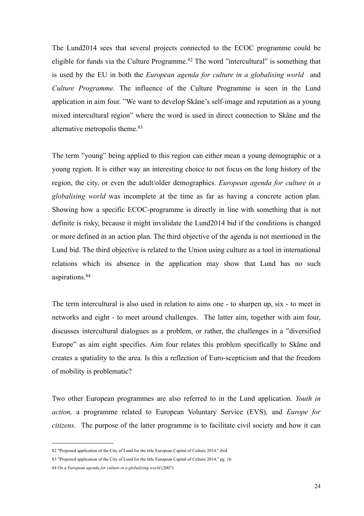The Lund2014 sees that several projects connected to the ECOC programme could be eligible for funds via the Culture Programme.[82](#page-26-0) The word "intercultural" is something that is used by the EU in both the *European agenda for culture in a globalising world* and *Culture Programme.* The influence of the Culture Programme is seen in the Lund application in aim four. "We want to develop Skåne's self-image and reputation as a young mixed intercultural region" where the word is used in direct connection to Skåne and the alternative metropolis theme.<sup>83</sup>

The term "young" being applied to this region can either mean a young demographic or a young region. It is either way an interesting choice to not focus on the long history of the region, the city, or even the adult/older demographics. *European agenda for culture in a globalising world* was incomplete at the time as far as having a concrete action plan. Showing how a specific ECOC-programme is directly in line with something that is not definite is risky, because it might invalidate the Lund2014 bid if the conditions is changed or more defined in an action plan. The third objective of the agenda is not mentioned in the Lund bid. The third objective is related to the Union using culture as a tool in international relations which its absence in the application may show that Lund has no such aspirations[.84](#page-26-2)

The term intercultural is also used in relation to aims one - to sharpen up, six - to meet in networks and eight - to meet around challenges. The latter aim, together with aim four, discusses intercultural dialogues as a problem, or rather, the challenges in a "diversified Europe" as aim eight specifies. Aim four relates this problem specifically to Skåne and creates a spatiality to the area. Is this a reflection of Euro-scepticism and that the freedom of mobility is problematic?

Two other European programmes are also referred to in the Lund application. *Youth in action,* a programme related to European Voluntary Service (EVS), and *Europe for citizens.* The purpose of the latter programme is to facilitate civil society and how it can

<span id="page-26-0"></span><sup>82</sup> "Proposed application of the City of Lund for the title European Capital of Culture 2014." ibid.

<span id="page-26-1"></span><sup>83</sup> "Proposed application of the City of Lund for the title European Capital of Culture 2014," pg. 16.

<span id="page-26-2"></span><sup>84</sup> *On a European agenda for culture in a globalizing world* (2007)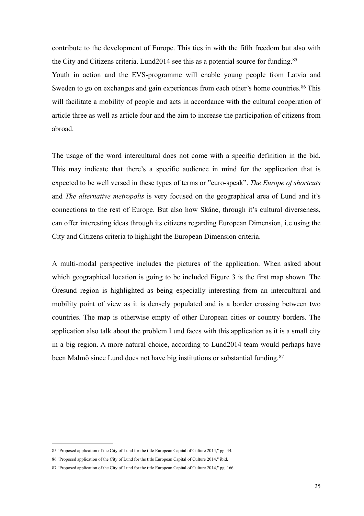contribute to the development of Europe. This ties in with the fifth freedom but also with the City and Citizens criteria. Lund2014 see this as a potential source for funding.[85](#page-27-0) Youth in action and the EVS-programme will enable young people from Latvia and Sweden to go on exchanges and gain experiences from each other's home countries.<sup>[86](#page-27-1)</sup> This will facilitate a mobility of people and acts in accordance with the cultural cooperation of article three as well as article four and the aim to increase the participation of citizens from abroad.

The usage of the word intercultural does not come with a specific definition in the bid. This may indicate that there's a specific audience in mind for the application that is expected to be well versed in these types of terms or "euro-speak". *The Europe of shortcuts* and *The alternative metropolis* is very focused on the geographical area of Lund and it's connections to the rest of Europe. But also how Skåne, through it's cultural diverseness, can offer interesting ideas through its citizens regarding European Dimension, i.e using the City and Citizens criteria to highlight the European Dimension criteria.

A multi-modal perspective includes the pictures of the application. When asked about which geographical location is going to be included Figure 3 is the first map shown. The Öresund region is highlighted as being especially interesting from an intercultural and mobility point of view as it is densely populated and is a border crossing between two countries. The map is otherwise empty of other European cities or country borders. The application also talk about the problem Lund faces with this application as it is a small city in a big region. A more natural choice, according to Lund2014 team would perhaps have been Malmö since Lund does not have big institutions or substantial funding.[87](#page-27-2)

<span id="page-27-0"></span><sup>85</sup> "Proposed application of the City of Lund for the title European Capital of Culture 2014," pg. 44.

<span id="page-27-1"></span><sup>86</sup> "Proposed application of the City of Lund for the title European Capital of Culture 2014," ibid.

<span id="page-27-2"></span><sup>87</sup> "Proposed application of the City of Lund for the title European Capital of Culture 2014," pg. 166.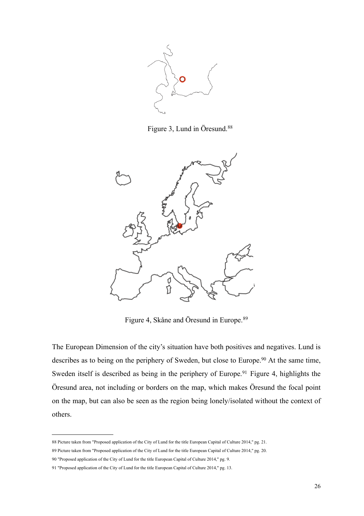

Figure 3, Lund in Öresund.<sup>[88](#page-28-0)</sup>



Figure 4, Skåne and Öresund in Europe.[89](#page-28-1)

The European Dimension of the city's situation have both positives and negatives. Lund is describes as to being on the periphery of Sweden, but close to Europe.<sup>90</sup> At the same time, Sweden itself is described as being in the periphery of Europe.<sup>[91](#page-28-3)</sup> Figure 4, highlights the Öresund area, not including or borders on the map, which makes Öresund the focal point on the map, but can also be seen as the region being lonely/isolated without the context of others.

<span id="page-28-0"></span><sup>88</sup> Picture taken from "Proposed application of the City of Lund for the title European Capital of Culture 2014," pg. 21.

<span id="page-28-1"></span><sup>89</sup> Picture taken from "Proposed application of the City of Lund for the title European Capital of Culture 2014," pg. 20.

<span id="page-28-2"></span><sup>90</sup> "Proposed application of the City of Lund for the title European Capital of Culture 2014," pg. 9.

<span id="page-28-3"></span><sup>91</sup> "Proposed application of the City of Lund for the title European Capital of Culture 2014," pg. 13.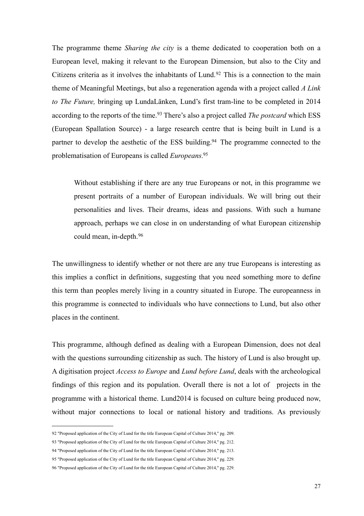The programme theme *Sharing the city* is a theme dedicated to cooperation both on a European level, making it relevant to the European Dimension, but also to the City and Citizens criteria as it involves the inhabitants of Lund.<sup>[92](#page-29-0)</sup> This is a connection to the main theme of Meaningful Meetings, but also a regeneration agenda with a project called *A Link to The Future,* bringing up LundaLänken, Lund's first tram-line to be completed in 2014 according to the reports of the time.<sup>[93](#page-29-1)</sup> There's also a project called *The postcard* which ESS (European Spallation Source) - a large research centre that is being built in Lund is a partner to develop the aesthetic of the ESS building.<sup>94</sup> The programme connected to the problematisation of Europeans is called *Europeans.*[95](#page-29-3)

Without establishing if there are any true Europeans or not, in this programme we present portraits of a number of European individuals. We will bring out their personalities and lives. Their dreams, ideas and passions. With such a humane approach, perhaps we can close in on understanding of what European citizenship could mean, in-depth.[96](#page-29-4)

The unwillingness to identify whether or not there are any true Europeans is interesting as this implies a conflict in definitions, suggesting that you need something more to define this term than peoples merely living in a country situated in Europe. The europeanness in this programme is connected to individuals who have connections to Lund, but also other places in the continent.

This programme, although defined as dealing with a European Dimension, does not deal with the questions surrounding citizenship as such. The history of Lund is also brought up. A digitisation project *Access to Europe* and *Lund before Lund*, deals with the archeological findings of this region and its population. Overall there is not a lot of projects in the programme with a historical theme. Lund2014 is focused on culture being produced now, without major connections to local or national history and traditions. As previously

<span id="page-29-0"></span><sup>92</sup> "Proposed application of the City of Lund for the title European Capital of Culture 2014," pg. 209.

<span id="page-29-1"></span><sup>93</sup> "Proposed application of the City of Lund for the title European Capital of Culture 2014," pg. 212.

<span id="page-29-2"></span><sup>94</sup> "Proposed application of the City of Lund for the title European Capital of Culture 2014," pg. 213.

<span id="page-29-3"></span><sup>95</sup> "Proposed application of the City of Lund for the title European Capital of Culture 2014," pg. 229.

<span id="page-29-4"></span><sup>96</sup> "Proposed application of the City of Lund for the title European Capital of Culture 2014," pg. 229.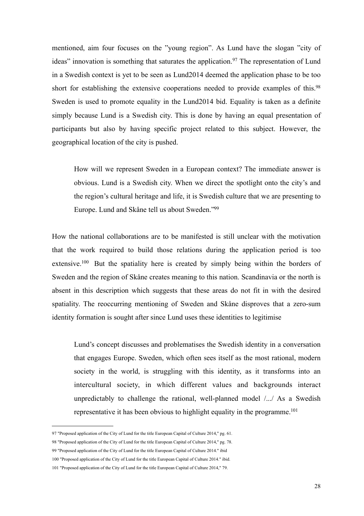mentioned, aim four focuses on the "young region". As Lund have the slogan "city of ideas" innovation is something that saturates the application.<sup>[97](#page-30-0)</sup> The representation of Lund in a Swedish context is yet to be seen as Lund2014 deemed the application phase to be too short for establishing the extensive cooperations needed to provide examples of this.<sup>98</sup> Sweden is used to promote equality in the Lund2014 bid. Equality is taken as a definite simply because Lund is a Swedish city. This is done by having an equal presentation of participants but also by having specific project related to this subject. However, the geographical location of the city is pushed.

 How will we represent Sweden in a European context? The immediate answer is obvious. Lund is a Swedish city. When we direct the spotlight onto the city's and the region's cultural heritage and life, it is Swedish culture that we are presenting to Europe. Lund and Skåne tell us about Sweden.["99](#page-30-2) 

How the national collaborations are to be manifested is still unclear with the motivation that the work required to build those relations during the application period is too extensive.<sup>100</sup> But the spatiality here is created by simply being within the borders of Sweden and the region of Skåne creates meaning to this nation. Scandinavia or the north is absent in this description which suggests that these areas do not fit in with the desired spatiality. The reoccurring mentioning of Sweden and Skåne disproves that a zero-sum identity formation is sought after since Lund uses these identities to legitimise

 Lund's concept discusses and problematises the Swedish identity in a conversation that engages Europe. Sweden, which often sees itself as the most rational, modern society in the world, is struggling with this identity, as it transforms into an intercultural society, in which different values and backgrounds interact unpredictably to challenge the rational, well-planned model /.../ As a Swedish representative it has been obvious to highlight equality in the programme.<sup>101</sup>

<span id="page-30-0"></span><sup>97</sup> "Proposed application of the City of Lund for the title European Capital of Culture 2014," pg. 61.

<span id="page-30-1"></span><sup>98</sup> "Proposed application of the City of Lund for the title European Capital of Culture 2014," pg. 78.

<span id="page-30-2"></span><sup>99</sup> "Proposed application of the City of Lund for the title European Capital of Culture 2014." ibid

<span id="page-30-3"></span><sup>100</sup> "Proposed application of the City of Lund for the title European Capital of Culture 2014." ibid.

<span id="page-30-4"></span><sup>101</sup> "Proposed application of the City of Lund for the title European Capital of Culture 2014," 79.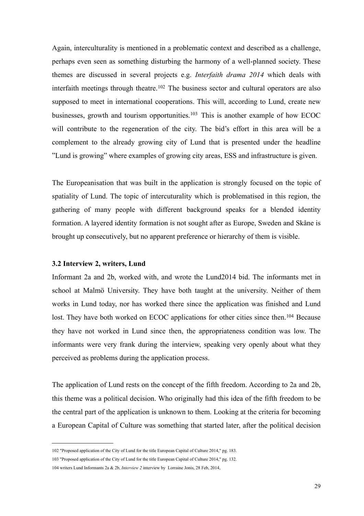Again, interculturality is mentioned in a problematic context and described as a challenge, perhaps even seen as something disturbing the harmony of a well-planned society. These themes are discussed in several projects e.g. *Interfaith drama 2014* which deals with interfaith meetings through theatre.<sup>[102](#page-31-1)</sup> The business sector and cultural operators are also supposed to meet in international cooperations. This will, according to Lund, create new businesses, growth and tourism opportunities.<sup>[103](#page-31-2)</sup> This is another example of how ECOC will contribute to the regeneration of the city. The bid's effort in this area will be a complement to the already growing city of Lund that is presented under the headline "Lund is growing" where examples of growing city areas, ESS and infrastructure is given.

The Europeanisation that was built in the application is strongly focused on the topic of spatiality of Lund. The topic of intercuturality which is problematised in this region, the gathering of many people with different background speaks for a blended identity formation. A layered identity formation is not sought after as Europe, Sweden and Skåne is brought up consecutively, but no apparent preference or hierarchy of them is visible.

#### <span id="page-31-0"></span>**3.2 Interview 2, writers, Lund**

Informant 2a and 2b, worked with, and wrote the Lund2014 bid. The informants met in school at Malmö University. They have both taught at the university. Neither of them works in Lund today, nor has worked there since the application was finished and Lund lost. They have both worked on ECOC applications for other cities since then.<sup>[104](#page-31-3)</sup> Because they have not worked in Lund since then, the appropriateness condition was low. The informants were very frank during the interview, speaking very openly about what they perceived as problems during the application process.

The application of Lund rests on the concept of the fifth freedom. According to 2a and 2b, this theme was a political decision. Who originally had this idea of the fifth freedom to be the central part of the application is unknown to them. Looking at the criteria for becoming a European Capital of Culture was something that started later, after the political decision

<span id="page-31-1"></span><sup>102</sup> "Proposed application of the City of Lund for the title European Capital of Culture 2014," pg. 183.

<span id="page-31-2"></span><sup>103</sup> "Proposed application of the City of Lund for the title European Capital of Culture 2014," pg. 132.

<span id="page-31-3"></span><sup>104</sup> writers Lund Informants 2a & 2b, *Interview 2* interview by Lorraine Jonis, 28 Feb, 2014,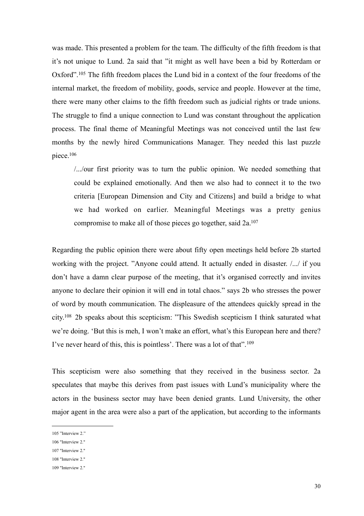was made. This presented a problem for the team. The difficulty of the fifth freedom is that it's not unique to Lund. 2a said that "it might as well have been a bid by Rotterdam or Oxford"[.105](#page-32-0) The fifth freedom places the Lund bid in a context of the four freedoms of the internal market, the freedom of mobility, goods, service and people. However at the time, there were many other claims to the fifth freedom such as judicial rights or trade unions. The struggle to find a unique connection to Lund was constant throughout the application process. The final theme of Meaningful Meetings was not conceived until the last few months by the newly hired Communications Manager. They needed this last puzzle piece[.106](#page-32-1)

 /.../our first priority was to turn the public opinion. We needed something that could be explained emotionally. And then we also had to connect it to the two criteria [European Dimension and City and Citizens] and build a bridge to what we had worked on earlier. Meaningful Meetings was a pretty genius compromise to make all of those pieces go together, said 2a[.107](#page-32-2)

Regarding the public opinion there were about fifty open meetings held before 2b started working with the project. "Anyone could attend. It actually ended in disaster. /.../ if you don't have a damn clear purpose of the meeting, that it's organised correctly and invites anyone to declare their opinion it will end in total chaos." says 2b who stresses the power of word by mouth communication. The displeasure of the attendees quickly spread in the city[.108](#page-32-3) 2b speaks about this scepticism: "This Swedish scepticism I think saturated what we're doing. 'But this is meh, I won't make an effort, what's this European here and there? I've never heard of this, this is pointless'. There was a lot of that".<sup>[109](#page-32-4)</sup>

This scepticism were also something that they received in the business sector. 2a speculates that maybe this derives from past issues with Lund's municipality where the actors in the business sector may have been denied grants. Lund University, the other major agent in the area were also a part of the application, but according to the informants

<span id="page-32-0"></span><sup>105 &</sup>quot;Interview 2."

<span id="page-32-1"></span><sup>106</sup> "Interview 2."

<span id="page-32-2"></span><sup>107</sup> "Interview 2."

<span id="page-32-3"></span><sup>108</sup> "Interview 2."

<span id="page-32-4"></span><sup>109</sup> "Interview 2."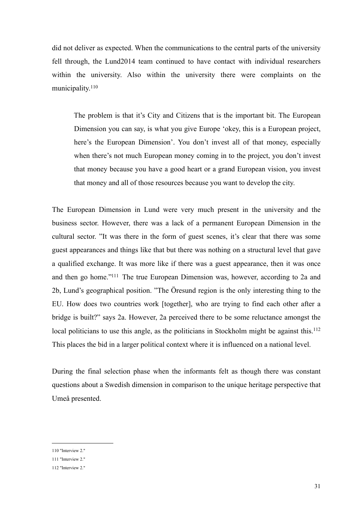did not deliver as expected. When the communications to the central parts of the university fell through, the Lund2014 team continued to have contact with individual researchers within the university. Also within the university there were complaints on the municipality.<sup>[110](#page-33-0)</sup>

 The problem is that it's City and Citizens that is the important bit. The European Dimension you can say, is what you give Europe 'okey, this is a European project, here's the European Dimension'. You don't invest all of that money, especially when there's not much European money coming in to the project, you don't invest that money because you have a good heart or a grand European vision, you invest that money and all of those resources because you want to develop the city.

The European Dimension in Lund were very much present in the university and the business sector. However, there was a lack of a permanent European Dimension in the cultural sector. "It was there in the form of guest scenes, it's clear that there was some guest appearances and things like that but there was nothing on a structural level that gave a qualified exchange. It was more like if there was a guest appearance, then it was once and then go home.["111](#page-33-1) The true European Dimension was, however, according to 2a and 2b, Lund's geographical position. "The Öresund region is the only interesting thing to the EU. How does two countries work [together], who are trying to find each other after a bridge is built?" says 2a. However, 2a perceived there to be some reluctance amongst the local politicians to use this angle, as the politicians in Stockholm might be against this.<sup>112</sup> This places the bid in a larger political context where it is influenced on a national level.

During the final selection phase when the informants felt as though there was constant questions about a Swedish dimension in comparison to the unique heritage perspective that Umeå presented.

<span id="page-33-0"></span><sup>110</sup> "Interview 2."

<span id="page-33-1"></span><sup>111</sup> "Interview 2."

<span id="page-33-2"></span><sup>112</sup> "Interview 2."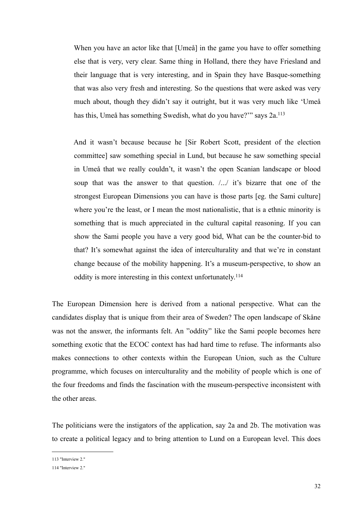When you have an actor like that [Umeå] in the game you have to offer something else that is very, very clear. Same thing in Holland, there they have Friesland and their language that is very interesting, and in Spain they have Basque-something that was also very fresh and interesting. So the questions that were asked was very much about, though they didn't say it outright, but it was very much like 'Umeå has this, Umeå has something Swedish, what do you have?"" says 2a.<sup>113</sup>

 And it wasn't because because he [Sir Robert Scott, president of the election committee] saw something special in Lund, but because he saw something special in Umeå that we really couldn't, it wasn't the open Scanian landscape or blood soup that was the answer to that question. /.../ it's bizarre that one of the strongest European Dimensions you can have is those parts [eg. the Sami culture] where you're the least, or I mean the most nationalistic, that is a ethnic minority is something that is much appreciated in the cultural capital reasoning. If you can show the Sami people you have a very good bid, What can be the counter-bid to that? It's somewhat against the idea of interculturality and that we're in constant change because of the mobility happening. It's a museum-perspective, to show an oddity is more interesting in this context unfortunately.[114](#page-34-1)

The European Dimension here is derived from a national perspective. What can the candidates display that is unique from their area of Sweden? The open landscape of Skåne was not the answer, the informants felt. An "oddity" like the Sami people becomes here something exotic that the ECOC context has had hard time to refuse. The informants also makes connections to other contexts within the European Union, such as the Culture programme, which focuses on interculturality and the mobility of people which is one of the four freedoms and finds the fascination with the museum-perspective inconsistent with the other areas.

The politicians were the instigators of the application, say 2a and 2b. The motivation was to create a political legacy and to bring attention to Lund on a European level. This does

<span id="page-34-0"></span><sup>113</sup> "Interview 2."

<span id="page-34-1"></span><sup>114</sup> "Interview 2."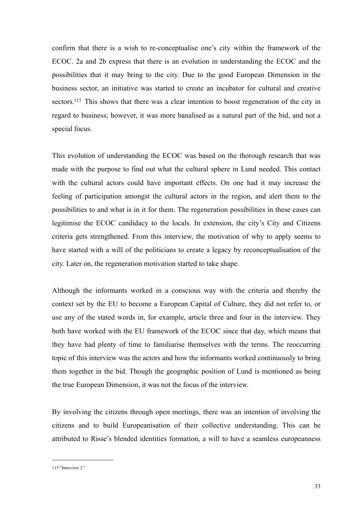confirm that there is a wish to re-conceptualise one's city within the framework of the ECOC. 2a and 2b express that there is an evolution in understanding the ECOC and the possibilities that it may bring to the city. Due to the good European Dimension in the business sector, an initiative was started to create an incubator for cultural and creative sectors.<sup>115</sup> This shows that there was a clear intention to boost regeneration of the city in regard to business; however, it was more banalised as a natural part of the bid, and not a special focus.

This evolution of understanding the ECOC was based on the thorough research that was made with the purpose to find out what the cultural sphere in Lund needed. This contact with the cultural actors could have important effects. On one had it may increase the feeling of participation amongst the cultural actors in the region, and alert them to the possibilities to and what is in it for them. The regeneration possibilities in these cases can legitimise the ECOC candidacy to the locals. In extension, the city's City and Citizens criteria gets strengthened. From this interview, the motivation of why to apply seems to have started with a will of the politicians to create a legacy by reconceptualisation of the city. Later on, the regeneration motivation started to take shape.

Although the informants worked in a conscious way with the criteria and thereby the context set by the EU to become a European Capital of Culture, they did not refer to, or use any of the stated words in, for example, article three and four in the interview. They both have worked with the EU framework of the ECOC since that day, which means that they have had plenty of time to familiarise themselves with the terms. The reoccurring topic of this interview was the actors and how the informants worked continuously to bring them together in the bid. Though the geographic position of Lund is mentioned as being the true European Dimension, it was not the focus of the interview.

By involving the citizens through open meetings, there was an intention of involving the citizens and to build Europeanisation of their collective understanding. This can be attributed to Risse's blended identities formation, a will to have a seamless europeanness

<span id="page-35-0"></span><sup>115</sup> "Interview 2."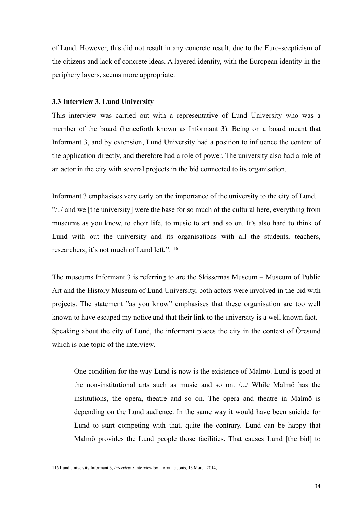of Lund. However, this did not result in any concrete result, due to the Euro-scepticism of the citizens and lack of concrete ideas. A layered identity, with the European identity in the periphery layers, seems more appropriate.

### **3.3 Interview 3, Lund University**

This interview was carried out with a representative of Lund University who was a member of the board (henceforth known as Informant 3). Being on a board meant that Informant 3, and by extension, Lund University had a position to influence the content of the application directly, and therefore had a role of power. The university also had a role of an actor in the city with several projects in the bid connected to its organisation.

Informant 3 emphasises very early on the importance of the university to the city of Lund. "/../ and we [the university] were the base for so much of the cultural here, everything from museums as you know, to choir life, to music to art and so on. It's also hard to think of Lund with out the university and its organisations with all the students, teachers, researchers, it's not much of Lund left."[.116](#page-36-0)

The museums Informant 3 is referring to are the Skissernas Museum – Museum of Public Art and the History Museum of Lund University, both actors were involved in the bid with projects. The statement "as you know" emphasises that these organisation are too well known to have escaped my notice and that their link to the university is a well known fact. Speaking about the city of Lund, the informant places the city in the context of Öresund which is one topic of the interview.

 One condition for the way Lund is now is the existence of Malmö. Lund is good at the non-institutional arts such as music and so on. /.../ While Malmö has the institutions, the opera, theatre and so on. The opera and theatre in Malmö is depending on the Lund audience. In the same way it would have been suicide for Lund to start competing with that, quite the contrary. Lund can be happy that Malmö provides the Lund people those facilities. That causes Lund [the bid] to

<span id="page-36-0"></span><sup>116</sup> Lund University Informant 3, *Interview 3* interview by Lorraine Jonis, 13 March 2014,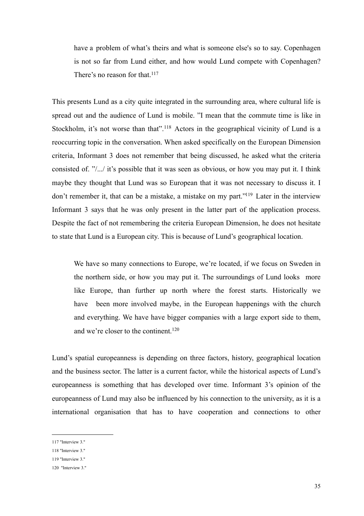have a problem of what's theirs and what is someone else's so to say. Copenhagen is not so far from Lund either, and how would Lund compete with Copenhagen? There's no reason for that.<sup>117</sup>

This presents Lund as a city quite integrated in the surrounding area, where cultural life is spread out and the audience of Lund is mobile. "I mean that the commute time is like in Stockholm, it's not worse than that".<sup>[118](#page-37-1)</sup> Actors in the geographical vicinity of Lund is a reoccurring topic in the conversation. When asked specifically on the European Dimension criteria, Informant 3 does not remember that being discussed, he asked what the criteria consisted of. "/.../ it's possible that it was seen as obvious, or how you may put it. I think maybe they thought that Lund was so European that it was not necessary to discuss it. I don't remember it, that can be a mistake, a mistake on my part.["119](#page-37-2) Later in the interview Informant 3 says that he was only present in the latter part of the application process. Despite the fact of not remembering the criteria European Dimension, he does not hesitate to state that Lund is a European city. This is because of Lund's geographical location.

 We have so many connections to Europe, we're located, if we focus on Sweden in the northern side, or how you may put it. The surroundings of Lund looks more like Europe, than further up north where the forest starts. Historically we have been more involved maybe, in the European happenings with the church and everything. We have have bigger companies with a large export side to them, and we're closer to the continent.<sup>[120](#page-37-3)</sup>

Lund's spatial europeanness is depending on three factors, history, geographical location and the business sector. The latter is a current factor, while the historical aspects of Lund's europeanness is something that has developed over time. Informant 3's opinion of the europeanness of Lund may also be influenced by his connection to the university, as it is a international organisation that has to have cooperation and connections to other

<span id="page-37-0"></span><sup>117</sup> "Interview 3."

<span id="page-37-1"></span><sup>118</sup> "Interview 3."

<span id="page-37-2"></span><sup>119</sup> "Interview 3."

<span id="page-37-3"></span><sup>120 &</sup>quot;Interview 3."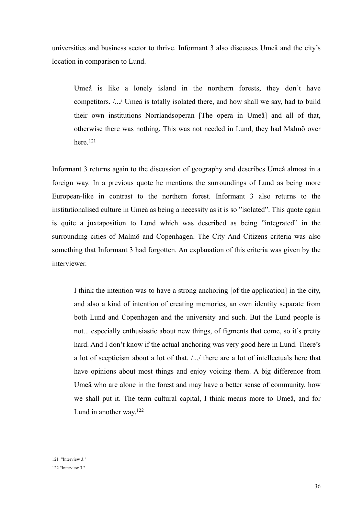universities and business sector to thrive. Informant 3 also discusses Umeå and the city's location in comparison to Lund.

 Umeå is like a lonely island in the northern forests, they don't have competitors. /.../ Umeå is totally isolated there, and how shall we say, had to build their own institutions Norrlandsoperan [The opera in Umeå] and all of that, otherwise there was nothing. This was not needed in Lund, they had Malmö over here.[121](#page-38-0)

Informant 3 returns again to the discussion of geography and describes Umeå almost in a foreign way. In a previous quote he mentions the surroundings of Lund as being more European-like in contrast to the northern forest. Informant 3 also returns to the institutionalised culture in Umeå as being a necessity as it is so "isolated". This quote again is quite a juxtaposition to Lund which was described as being "integrated" in the surrounding cities of Malmö and Copenhagen. The City And Citizens criteria was also something that Informant 3 had forgotten. An explanation of this criteria was given by the interviewer.

 I think the intention was to have a strong anchoring [of the application] in the city, and also a kind of intention of creating memories, an own identity separate from both Lund and Copenhagen and the university and such. But the Lund people is not... especially enthusiastic about new things, of figments that come, so it's pretty hard. And I don't know if the actual anchoring was very good here in Lund. There's a lot of scepticism about a lot of that. /.../ there are a lot of intellectuals here that have opinions about most things and enjoy voicing them. A big difference from Umeå who are alone in the forest and may have a better sense of community, how we shall put it. The term cultural capital, I think means more to Umeå, and for Lund in another way.[122](#page-38-1)

<span id="page-38-0"></span><sup>121 &</sup>quot;Interview 3."

<span id="page-38-1"></span><sup>122</sup> "Interview 3."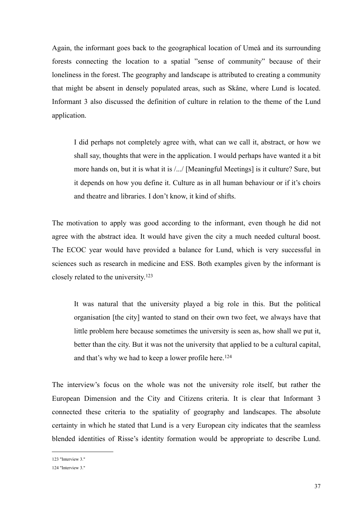Again, the informant goes back to the geographical location of Umeå and its surrounding forests connecting the location to a spatial "sense of community" because of their loneliness in the forest. The geography and landscape is attributed to creating a community that might be absent in densely populated areas, such as Skåne, where Lund is located. Informant 3 also discussed the definition of culture in relation to the theme of the Lund application.

 I did perhaps not completely agree with, what can we call it, abstract, or how we shall say, thoughts that were in the application. I would perhaps have wanted it a bit more hands on, but it is what it is /.../ [Meaningful Meetings] is it culture? Sure, but it depends on how you define it. Culture as in all human behaviour or if it's choirs and theatre and libraries. I don't know, it kind of shifts.

The motivation to apply was good according to the informant, even though he did not agree with the abstract idea. It would have given the city a much needed cultural boost. The ECOC year would have provided a balance for Lund, which is very successful in sciences such as research in medicine and ESS. Both examples given by the informant is closely related to the university.[123](#page-39-0)

 It was natural that the university played a big role in this. But the political organisation [the city] wanted to stand on their own two feet, we always have that little problem here because sometimes the university is seen as, how shall we put it, better than the city. But it was not the university that applied to be a cultural capital, and that's why we had to keep a lower profile here.<sup>[124](#page-39-1)</sup>

The interview's focus on the whole was not the university role itself, but rather the European Dimension and the City and Citizens criteria. It is clear that Informant 3 connected these criteria to the spatiality of geography and landscapes. The absolute certainty in which he stated that Lund is a very European city indicates that the seamless blended identities of Risse's identity formation would be appropriate to describe Lund.

<span id="page-39-0"></span><sup>123</sup> "Interview 3."

<span id="page-39-1"></span><sup>124</sup> "Interview 3."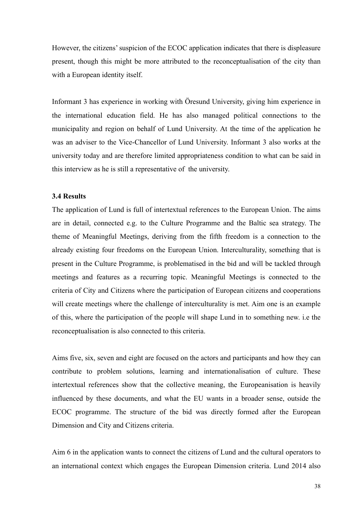However, the citizens' suspicion of the ECOC application indicates that there is displeasure present, though this might be more attributed to the reconceptualisation of the city than with a European identity itself.

Informant 3 has experience in working with Öresund University, giving him experience in the international education field. He has also managed political connections to the municipality and region on behalf of Lund University. At the time of the application he was an adviser to the Vice-Chancellor of Lund University. Informant 3 also works at the university today and are therefore limited appropriateness condition to what can be said in this interview as he is still a representative of the university.

#### **3.4 Results**

The application of Lund is full of intertextual references to the European Union. The aims are in detail, connected e.g. to the Culture Programme and the Baltic sea strategy. The theme of Meaningful Meetings, deriving from the fifth freedom is a connection to the already existing four freedoms on the European Union. Interculturality, something that is present in the Culture Programme, is problematised in the bid and will be tackled through meetings and features as a recurring topic. Meaningful Meetings is connected to the criteria of City and Citizens where the participation of European citizens and cooperations will create meetings where the challenge of interculturality is met. Aim one is an example of this, where the participation of the people will shape Lund in to something new. i.e the reconceptualisation is also connected to this criteria.

Aims five, six, seven and eight are focused on the actors and participants and how they can contribute to problem solutions, learning and internationalisation of culture. These intertextual references show that the collective meaning, the Europeanisation is heavily influenced by these documents, and what the EU wants in a broader sense, outside the ECOC programme. The structure of the bid was directly formed after the European Dimension and City and Citizens criteria.

Aim 6 in the application wants to connect the citizens of Lund and the cultural operators to an international context which engages the European Dimension criteria. Lund 2014 also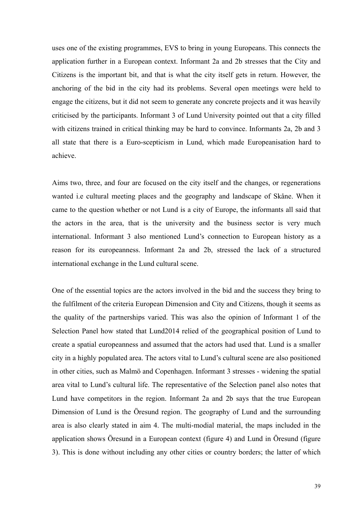uses one of the existing programmes, EVS to bring in young Europeans. This connects the application further in a European context. Informant 2a and 2b stresses that the City and Citizens is the important bit, and that is what the city itself gets in return. However, the anchoring of the bid in the city had its problems. Several open meetings were held to engage the citizens, but it did not seem to generate any concrete projects and it was heavily criticised by the participants. Informant 3 of Lund University pointed out that a city filled with citizens trained in critical thinking may be hard to convince. Informants 2a, 2b and 3 all state that there is a Euro-scepticism in Lund, which made Europeanisation hard to achieve.

Aims two, three, and four are focused on the city itself and the changes, or regenerations wanted i.e cultural meeting places and the geography and landscape of Skåne. When it came to the question whether or not Lund is a city of Europe, the informants all said that the actors in the area, that is the university and the business sector is very much international. Informant 3 also mentioned Lund's connection to European history as a reason for its europeanness. Informant 2a and 2b, stressed the lack of a structured international exchange in the Lund cultural scene.

One of the essential topics are the actors involved in the bid and the success they bring to the fulfilment of the criteria European Dimension and City and Citizens, though it seems as the quality of the partnerships varied. This was also the opinion of Informant 1 of the Selection Panel how stated that Lund2014 relied of the geographical position of Lund to create a spatial europeanness and assumed that the actors had used that. Lund is a smaller city in a highly populated area. The actors vital to Lund's cultural scene are also positioned in other cities, such as Malmö and Copenhagen. Informant 3 stresses - widening the spatial area vital to Lund's cultural life. The representative of the Selection panel also notes that Lund have competitors in the region. Informant 2a and 2b says that the true European Dimension of Lund is the Öresund region. The geography of Lund and the surrounding area is also clearly stated in aim 4. The multi-modial material, the maps included in the application shows Öresund in a European context (figure 4) and Lund in Öresund (figure 3). This is done without including any other cities or country borders; the latter of which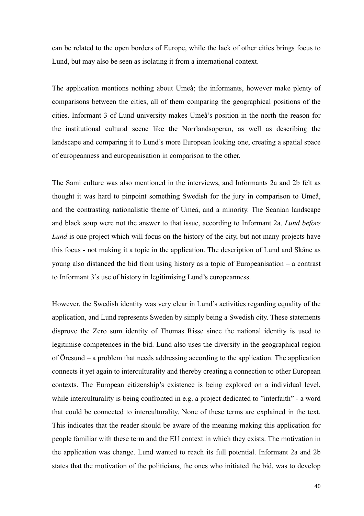can be related to the open borders of Europe, while the lack of other cities brings focus to Lund, but may also be seen as isolating it from a international context.

The application mentions nothing about Umeå; the informants, however make plenty of comparisons between the cities, all of them comparing the geographical positions of the cities. Informant 3 of Lund university makes Umeå's position in the north the reason for the institutional cultural scene like the Norrlandsoperan, as well as describing the landscape and comparing it to Lund's more European looking one, creating a spatial space of europeanness and europeanisation in comparison to the other.

The Sami culture was also mentioned in the interviews, and Informants 2a and 2b felt as thought it was hard to pinpoint something Swedish for the jury in comparison to Umeå, and the contrasting nationalistic theme of Umeå, and a minority. The Scanian landscape and black soup were not the answer to that issue, according to Informant 2a. *Lund before Lund* is one project which will focus on the history of the city, but not many projects have this focus - not making it a topic in the application. The description of Lund and Skåne as young also distanced the bid from using history as a topic of Europeanisation – a contrast to Informant 3's use of history in legitimising Lund's europeanness.

However, the Swedish identity was very clear in Lund's activities regarding equality of the application, and Lund represents Sweden by simply being a Swedish city. These statements disprove the Zero sum identity of Thomas Risse since the national identity is used to legitimise competences in the bid. Lund also uses the diversity in the geographical region of Öresund – a problem that needs addressing according to the application. The application connects it yet again to interculturality and thereby creating a connection to other European contexts. The European citizenship's existence is being explored on a individual level, while interculturality is being confronted in e.g. a project dedicated to "interfaith" - a word that could be connected to interculturality. None of these terms are explained in the text. This indicates that the reader should be aware of the meaning making this application for people familiar with these term and the EU context in which they exists. The motivation in the application was change. Lund wanted to reach its full potential. Informant 2a and 2b states that the motivation of the politicians, the ones who initiated the bid, was to develop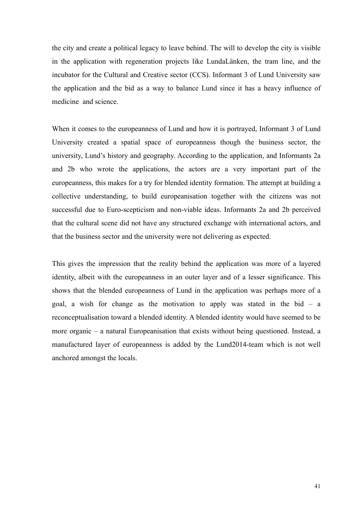the city and create a political legacy to leave behind. The will to develop the city is visible in the application with regeneration projects like LundaLänken, the tram line, and the incubator for the Cultural and Creative sector (CCS). Informant 3 of Lund University saw the application and the bid as a way to balance Lund since it has a heavy influence of medicine and science.

When it comes to the europeanness of Lund and how it is portrayed, Informant 3 of Lund University created a spatial space of europeanness though the business sector, the university, Lund's history and geography. According to the application, and Informants 2a and 2b who wrote the applications, the actors are a very important part of the europeanness, this makes for a try for blended identity formation. The attempt at building a collective understanding, to build europeanisation together with the citizens was not successful due to Euro-scepticism and non-viable ideas. Informants 2a and 2b perceived that the cultural scene did not have any structured exchange with international actors, and that the business sector and the university were not delivering as expected.

This gives the impression that the reality behind the application was more of a layered identity, albeit with the europeanness in an outer layer and of a lesser significance. This shows that the blended europeanness of Lund in the application was perhaps more of a goal, a wish for change as the motivation to apply was stated in the bid – a reconceptualisation toward a blended identity. A blended identity would have seemed to be more organic – a natural Europeanisation that exists without being questioned. Instead, a manufactured layer of europeanness is added by the Lund2014-team which is not well anchored amongst the locals.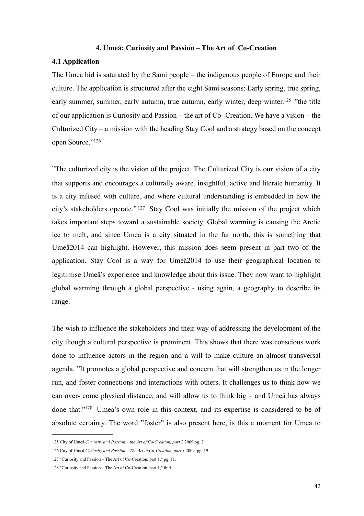#### **4. Umeå: Curiosity and Passion – The Art of Co-Creation**

#### **4.1 Application**

The Umeå bid is saturated by the Sami people – the indigenous people of Europe and their culture. The application is structured after the eight Sami seasons: Early spring, true spring, early summer, summer, early autumn, true autumn, early winter, deep winter.<sup>125</sup> "the title of our application is Curiosity and Passion – the art of Co- Creation. We have a vision – the Culturized City – a mission with the heading Stay Cool and a strategy based on the concept open Source.["126](#page-44-1)

"The culturized city is the vision of the project. The Culturized City is our vision of a city that supports and encourages a culturally aware, insightful, active and literate humanity. It is a city infused with culture, and where cultural understanding is embedded in how the city's stakeholders operate." [127](#page-44-2) Stay Cool was initially the mission of the project which takes important steps toward a sustainable society. Global warming is causing the Arctic ice to melt, and since Umeå is a city situated in the far north, this is something that Umeå2014 can highlight. However, this mission does seem present in part two of the application. Stay Cool is a way for Umeå2014 to use their geographical location to legitimise Umeå's experience and knowledge about this issue. They now want to highlight global warming through a global perspective - using again, a geography to describe its range.

The wish to influence the stakeholders and their way of addressing the development of the city though a cultural perspective is prominent. This shows that there was conscious work done to influence actors in the region and a will to make culture an almost transversal agenda. "It promotes a global perspective and concern that will strengthen us in the longer run, and foster connections and interactions with others. It challenges us to think how we can over- come physical distance, and will allow us to think big – and Umeå has always done that.["128](#page-44-3) Umeå's own role in this context, and its expertise is considered to be of absolute certainty. The word "foster" is also present here, is this a moment for Umeå to

<span id="page-44-0"></span><sup>125</sup> City of Umeå *Curiosity and Passion – the Art of Co-Creation, part 2* 2009 pg. 2

<span id="page-44-1"></span><sup>126</sup> City of Umeå *Curiosity and Passion – The Art of Co-Creation, part 1* 2009 pg. 19

<span id="page-44-2"></span><sup>127</sup> "Curiosity and Passion – The Art of Co-Creation, part 1," pg. 11.

<span id="page-44-3"></span><sup>128</sup> "Curiosity and Passion – The Art of Co-Creation, part 1," ibid.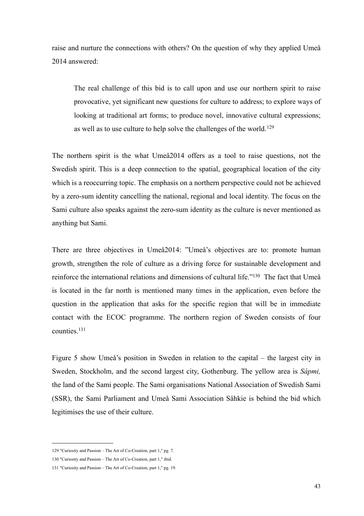raise and nurture the connections with others? On the question of why they applied Umeå 2014 answered:

 The real challenge of this bid is to call upon and use our northern spirit to raise provocative, yet significant new questions for culture to address; to explore ways of looking at traditional art forms; to produce novel, innovative cultural expressions; as well as to use culture to help solve the challenges of the world.[129](#page-45-0)

The northern spirit is the what Umeå2014 offers as a tool to raise questions, not the Swedish spirit. This is a deep connection to the spatial, geographical location of the city which is a reoccurring topic. The emphasis on a northern perspective could not be achieved by a zero-sum identity cancelling the national, regional and local identity. The focus on the Sami culture also speaks against the zero-sum identity as the culture is never mentioned as anything but Sami.

There are three objectives in Umeå2014: "Umeå's objectives are to: promote human growth, strengthen the role of culture as a driving force for sustainable development and reinforce the international relations and dimensions of cultural life.["130](#page-45-1) The fact that Umeå is located in the far north is mentioned many times in the application, even before the question in the application that asks for the specific region that will be in immediate contact with the ECOC programme. The northern region of Sweden consists of four counties[.131](#page-45-2)

Figure 5 show Umeå's position in Sweden in relation to the capital – the largest city in Sweden, Stockholm, and the second largest city, Gothenburg. The yellow area is *Sápmi,*  the land of the Sami people. The Sami organisations National Association of Swedish Sami (SSR), the Sami Parliament and Umeå Sami Association Såhkie is behind the bid which legitimises the use of their culture.

<span id="page-45-0"></span><sup>129</sup> "Curiosity and Passion – The Art of Co-Creation, part 1," pg. 7.

<span id="page-45-1"></span><sup>130</sup> "Curiosity and Passion – The Art of Co-Creation, part 1," ibid.

<span id="page-45-2"></span><sup>131</sup> "Curiosity and Passion – The Art of Co-Creation, part 1," pg. 19.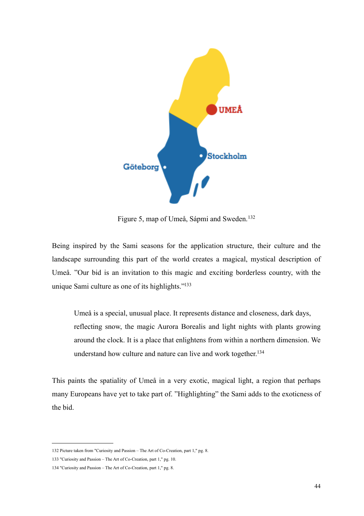

Figure 5, map of Umeå, Sápmi and Sweden.<sup>[132](#page-46-0)</sup>

Being inspired by the Sami seasons for the application structure, their culture and the landscape surrounding this part of the world creates a magical, mystical description of Umeå. "Our bid is an invitation to this magic and exciting borderless country, with the unique Sami culture as one of its highlights.["133](#page-46-1)

 Umeå is a special, unusual place. It represents distance and closeness, dark days, reflecting snow, the magic Aurora Borealis and light nights with plants growing around the clock. It is a place that enlightens from within a northern dimension. We understand how culture and nature can live and work together[.134](#page-46-2)

This paints the spatiality of Umeå in a very exotic, magical light, a region that perhaps many Europeans have yet to take part of. "Highlighting" the Sami adds to the exoticness of the bid.

<span id="page-46-0"></span><sup>132</sup> Picture taken from "Curiosity and Passion – The Art of Co-Creation, part 1," pg. 8.

<span id="page-46-1"></span><sup>133</sup> "Curiosity and Passion – The Art of Co-Creation, part 1," pg. 10.

<span id="page-46-2"></span><sup>134</sup> "Curiosity and Passion – The Art of Co-Creation, part 1," pg. 8.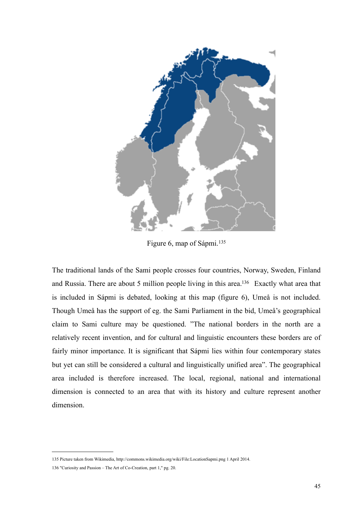

Figure 6, map of Sápmi.<sup>[135](#page-47-0)</sup>

The traditional lands of the Sami people crosses four countries, Norway, Sweden, Finland and Russia. There are about 5 million people living in this area[.136](#page-47-1) Exactly what area that is included in Sápmi is debated, looking at this map (figure 6), Umeå is not included. Though Umeå has the support of eg. the Sami Parliament in the bid, Umeå's geographical claim to Sami culture may be questioned. "The national borders in the north are a relatively recent invention, and for cultural and linguistic encounters these borders are of fairly minor importance. It is significant that Sápmi lies within four contemporary states but yet can still be considered a cultural and linguistically unified area". The geographical area included is therefore increased. The local, regional, national and international dimension is connected to an area that with its history and culture represent another dimension.

<span id="page-47-0"></span><sup>135</sup> Picture taken from Wikimedia,<http://commons.wikimedia.org/wiki/File:LocationSapmi.png>1 April 2014.

<span id="page-47-1"></span><sup>136</sup> "Curiosity and Passion – The Art of Co-Creation, part 1," pg. 20.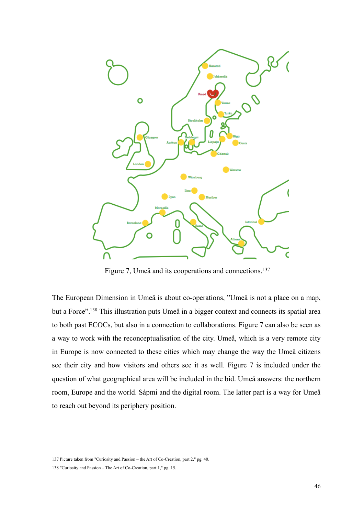

Figure 7, Umeå and its cooperations and connections.<sup>[137](#page-48-0)</sup>

The European Dimension in Umeå is about co-operations, "Umeå is not a place on a map, but a Force".<sup>138</sup> This illustration puts Umeå in a bigger context and connects its spatial area to both past ECOCs, but also in a connection to collaborations. Figure 7 can also be seen as a way to work with the reconceptualisation of the city. Umeå, which is a very remote city in Europe is now connected to these cities which may change the way the Umeå citizens see their city and how visitors and others see it as well. Figure 7 is included under the question of what geographical area will be included in the bid. Umeå answers: the northern room, Europe and the world. Sápmi and the digital room. The latter part is a way for Umeå to reach out beyond its periphery position.

<span id="page-48-0"></span><sup>137</sup> Picture taken from "Curiosity and Passion – the Art of Co-Creation, part 2," pg. 40.

<span id="page-48-1"></span><sup>138</sup> "Curiosity and Passion – The Art of Co-Creation, part 1," pg. 15.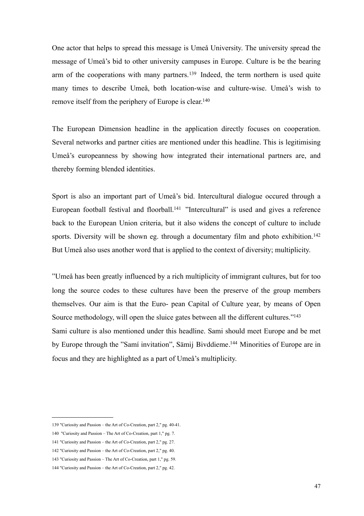One actor that helps to spread this message is Umeå University. The university spread the message of Umeå's bid to other university campuses in Europe. Culture is be the bearing arm of the cooperations with many partners.<sup>[139](#page-49-0)</sup> Indeed, the term northern is used quite many times to describe Umeå, both location-wise and culture-wise. Umeå's wish to remove itself from the periphery of Europe is clear[.140](#page-49-1)

The European Dimension headline in the application directly focuses on cooperation. Several networks and partner cities are mentioned under this headline. This is legitimising Umeå's europeanness by showing how integrated their international partners are, and thereby forming blended identities.

Sport is also an important part of Umeå's bid. Intercultural dialogue occured through a European football festival and floorball.<sup>141</sup> "Intercultural" is used and gives a reference back to the European Union criteria, but it also widens the concept of culture to include sports. Diversity will be shown eg. through a documentary film and photo exhibition.<sup>142</sup> But Umeå also uses another word that is applied to the context of diversity; multiplicity.

"Umeå has been greatly influenced by a rich multiplicity of immigrant cultures, but for too long the source codes to these cultures have been the preserve of the group members themselves. Our aim is that the Euro- pean Capital of Culture year, by means of Open Source methodology, will open the sluice gates between all the different cultures.["143](#page-49-4) Sami culture is also mentioned under this headline. Sami should meet Europe and be met by Europe through the "Samí invitation", Sämij Bivddieme.[144](#page-49-5) Minorities of Europe are in focus and they are highlighted as a part of Umeå's multiplicity.

<span id="page-49-0"></span><sup>139</sup> "Curiosity and Passion – the Art of Co-Creation, part 2," pg. 40-41.

<span id="page-49-1"></span><sup>140 &</sup>quot;Curiosity and Passion – The Art of Co-Creation, part 1," pg. 7.

<span id="page-49-2"></span><sup>141</sup> "Curiosity and Passion – the Art of Co-Creation, part 2," pg. 27.

<span id="page-49-3"></span><sup>142</sup> "Curiosity and Passion – the Art of Co-Creation, part 2," pg. 40.

<span id="page-49-4"></span><sup>143</sup> "Curiosity and Passion – The Art of Co-Creation, part 1," pg. 59.

<span id="page-49-5"></span><sup>144</sup> "Curiosity and Passion – the Art of Co-Creation, part 2," pg. 42.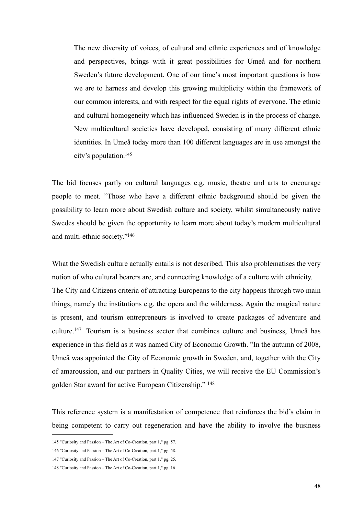The new diversity of voices, of cultural and ethnic experiences and of knowledge and perspectives, brings with it great possibilities for Umeå and for northern Sweden's future development. One of our time's most important questions is how we are to harness and develop this growing multiplicity within the framework of our common interests, and with respect for the equal rights of everyone. The ethnic and cultural homogeneity which has influenced Sweden is in the process of change. New multicultural societies have developed, consisting of many different ethnic identities. In Umeå today more than 100 different languages are in use amongst the city's population[.145](#page-50-0)

The bid focuses partly on cultural languages e.g. music, theatre and arts to encourage people to meet. "Those who have a different ethnic background should be given the possibility to learn more about Swedish culture and society, whilst simultaneously native Swedes should be given the opportunity to learn more about today's modern multicultural and multi-ethnic society.["146](#page-50-1)

What the Swedish culture actually entails is not described. This also problematises the very notion of who cultural bearers are, and connecting knowledge of a culture with ethnicity. The City and Citizens criteria of attracting Europeans to the city happens through two main things, namely the institutions e.g. the opera and the wilderness. Again the magical nature is present, and tourism entrepreneurs is involved to create packages of adventure and culture[.147](#page-50-2) Tourism is a business sector that combines culture and business, Umeå has experience in this field as it was named City of Economic Growth. "In the autumn of 2008, Umeå was appointed the City of Economic growth in Sweden, and, together with the City of amaroussion, and our partners in Quality Cities, we will receive the EU Commission's golden Star award for active European Citizenship." [148](#page-50-3)

This reference system is a manifestation of competence that reinforces the bid's claim in being competent to carry out regeneration and have the ability to involve the business

<span id="page-50-0"></span><sup>145</sup> "Curiosity and Passion – The Art of Co-Creation, part 1," pg. 57.

<span id="page-50-1"></span><sup>146</sup> "Curiosity and Passion – The Art of Co-Creation, part 1," pg. 58.

<span id="page-50-2"></span><sup>147</sup> "Curiosity and Passion – The Art of Co-Creation, part 1," pg. 25.

<span id="page-50-3"></span><sup>148</sup> "Curiosity and Passion – The Art of Co-Creation, part 1," pg. 16.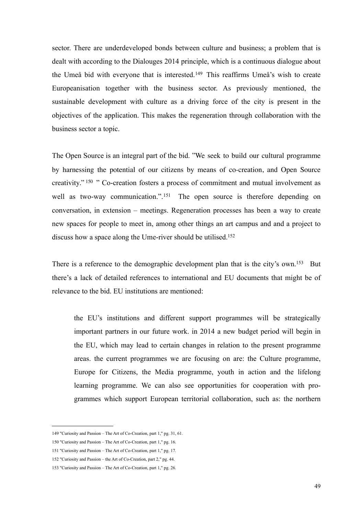sector. There are underdeveloped bonds between culture and business; a problem that is dealt with according to the Dialouges 2014 principle, which is a continuous dialogue about the Umeå bid with everyone that is interested.[149](#page-51-0) This reaffirms Umeå's wish to create Europeanisation together with the business sector. As previously mentioned, the sustainable development with culture as a driving force of the city is present in the objectives of the application. This makes the regeneration through collaboration with the business sector a topic.

The Open Source is an integral part of the bid. "We seek to build our cultural programme by harnessing the potential of our citizens by means of co-creation, and Open Source creativity." [150](#page-51-1) " Co-creation fosters a process of commitment and mutual involvement as well as two-way communication.".<sup>[151](#page-51-2)</sup> The open source is therefore depending on conversation, in extension – meetings. Regeneration processes has been a way to create new spaces for people to meet in, among other things an art campus and and a project to discuss how a space along the Ume-river should be utilised.<sup>152</sup>

There is a reference to the demographic development plan that is the city's own.<sup>153</sup> But there's a lack of detailed references to international and EU documents that might be of relevance to the bid. EU institutions are mentioned:

 the EU's institutions and different support programmes will be strategically important partners in our future work. in 2014 a new budget period will begin in the EU, which may lead to certain changes in relation to the present programme areas. the current programmes we are focusing on are: the Culture programme, Europe for Citizens, the Media programme, youth in action and the lifelong learning programme. We can also see opportunities for cooperation with pro grammes which support European territorial collaboration, such as: the northern

<span id="page-51-0"></span><sup>149</sup> "Curiosity and Passion – The Art of Co-Creation, part 1," pg. 31, 61.

<span id="page-51-1"></span><sup>150</sup> "Curiosity and Passion – The Art of Co-Creation, part 1," pg. 16.

<span id="page-51-2"></span><sup>151</sup> "Curiosity and Passion – The Art of Co-Creation, part 1," pg. 17.

<span id="page-51-3"></span><sup>152</sup> "Curiosity and Passion – the Art of Co-Creation, part 2," pg. 44.

<span id="page-51-4"></span><sup>153</sup> "Curiosity and Passion – The Art of Co-Creation, part 1," pg. 26.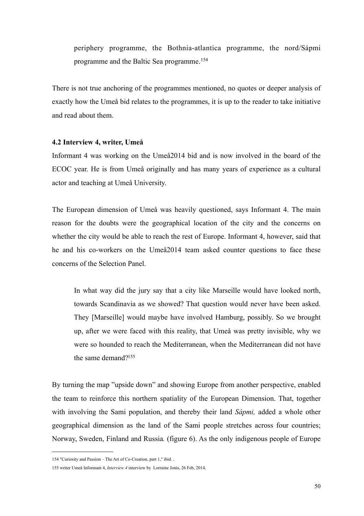periphery programme, the Bothnia-atlantica programme, the nord/Sápmi programme and the Baltic Sea programme.[154](#page-52-0)

There is not true anchoring of the programmes mentioned, no quotes or deeper analysis of exactly how the Umeå bid relates to the programmes, it is up to the reader to take initiative and read about them.

#### **4.2 Interview 4, writer, Umeå**

Informant 4 was working on the Umeå2014 bid and is now involved in the board of the ECOC year. He is from Umeå originally and has many years of experience as a cultural actor and teaching at Umeå University.

The European dimension of Umeå was heavily questioned, says Informant 4. The main reason for the doubts were the geographical location of the city and the concerns on whether the city would be able to reach the rest of Europe. Informant 4, however, said that he and his co-workers on the Umeå2014 team asked counter questions to face these concerns of the Selection Panel.

 In what way did the jury say that a city like Marseille would have looked north, towards Scandinavia as we showed? That question would never have been asked. They [Marseille] would maybe have involved Hamburg, possibly. So we brought up, after we were faced with this reality, that Umeå was pretty invisible, why we were so hounded to reach the Mediterranean, when the Mediterranean did not have the same demand[?155](#page-52-1)

By turning the map "upside down" and showing Europe from another perspective, enabled the team to reinforce this northern spatiality of the European Dimension. That, together with involving the Sami population, and thereby their land *Sápmi,* added a whole other geographical dimension as the land of the Sami people stretches across four countries; Norway, Sweden, Finland and Russia*.* (figure 6). As the only indigenous people of Europe

<span id="page-52-0"></span><sup>154</sup> "Curiosity and Passion – The Art of Co-Creation, part 1," ibid. .

<span id="page-52-1"></span><sup>155</sup> writer Umeå Informant 4, *Interview 4* interview by Lorraine Jonis, 26 Feb, 2014,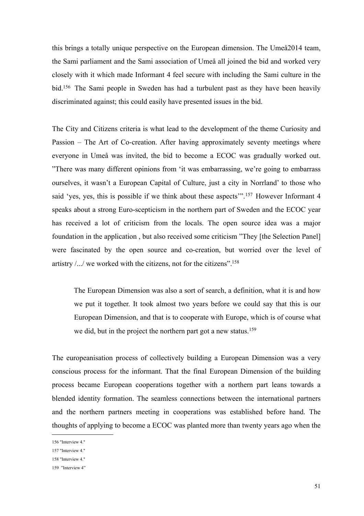this brings a totally unique perspective on the European dimension. The Umeå2014 team, the Sami parliament and the Sami association of Umeå all joined the bid and worked very closely with it which made Informant 4 feel secure with including the Sami culture in the bid[.156](#page-53-0) The Sami people in Sweden has had a turbulent past as they have been heavily discriminated against; this could easily have presented issues in the bid.

The City and Citizens criteria is what lead to the development of the theme Curiosity and Passion – The Art of Co-creation. After having approximately seventy meetings where everyone in Umeå was invited, the bid to become a ECOC was gradually worked out. "There was many different opinions from 'it was embarrassing, we're going to embarrass ourselves, it wasn't a European Capital of Culture, just a city in Norrland' to those who said 'yes, yes, this is possible if we think about these aspects'".<sup>[157](#page-53-1)</sup> However Informant 4 speaks about a strong Euro-scepticism in the northern part of Sweden and the ECOC year has received a lot of criticism from the locals. The open source idea was a major foundation in the application , but also received some criticism "They [the Selection Panel] were fascinated by the open source and co-creation, but worried over the level of artistry  $/$ ... $/$  we worked with the citizens, not for the citizens".<sup>158</sup>

 The European Dimension was also a sort of search, a definition, what it is and how we put it together. It took almost two years before we could say that this is our European Dimension, and that is to cooperate with Europe, which is of course what we did, but in the project the northern part got a new status.<sup>[159](#page-53-3)</sup>

The europeanisation process of collectively building a European Dimension was a very conscious process for the informant. That the final European Dimension of the building process became European cooperations together with a northern part leans towards a blended identity formation. The seamless connections between the international partners and the northern partners meeting in cooperations was established before hand. The thoughts of applying to become a ECOC was planted more than twenty years ago when the

<span id="page-53-0"></span><sup>156</sup> "Interview 4."

<span id="page-53-1"></span><sup>157</sup> "Interview 4."

<span id="page-53-2"></span><sup>158</sup> "Interview 4."

<span id="page-53-3"></span><sup>159 &</sup>quot;Interview 4"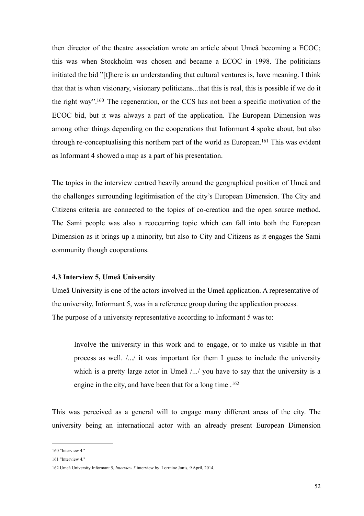then director of the theatre association wrote an article about Umeå becoming a ECOC; this was when Stockholm was chosen and became a ECOC in 1998. The politicians initiated the bid "[t]here is an understanding that cultural ventures is, have meaning. I think that that is when visionary, visionary politicians...that this is real, this is possible if we do it the right way"[.160](#page-54-0) The regeneration, or the CCS has not been a specific motivation of the ECOC bid, but it was always a part of the application. The European Dimension was among other things depending on the cooperations that Informant 4 spoke about, but also through re-conceptualising this northern part of the world as European.<sup>161</sup> This was evident as Informant 4 showed a map as a part of his presentation.

The topics in the interview centred heavily around the geographical position of Umeå and the challenges surrounding legitimisation of the city's European Dimension. The City and Citizens criteria are connected to the topics of co-creation and the open source method. The Sami people was also a reoccurring topic which can fall into both the European Dimension as it brings up a minority, but also to City and Citizens as it engages the Sami community though cooperations.

#### **4.3 Interview 5, Umeå University**

Umeå University is one of the actors involved in the Umeå application. A representative of the university, Informant 5, was in a reference group during the application process. The purpose of a university representative according to Informant 5 was to:

 Involve the university in this work and to engage, or to make us visible in that process as well. /.../ it was important for them I guess to include the university which is a pretty large actor in Umeå /.../ you have to say that the university is a engine in the city, and have been that for a long time .<sup>[162](#page-54-2)</sup>

This was perceived as a general will to engage many different areas of the city. The university being an international actor with an already present European Dimension

<span id="page-54-0"></span><sup>160</sup> "Interview 4."

<span id="page-54-1"></span><sup>161</sup> "Interview 4."

<span id="page-54-2"></span><sup>162</sup> Umeå University Informant 5, *Interview 5* interview by Lorraine Jonis, 9 April, 2014,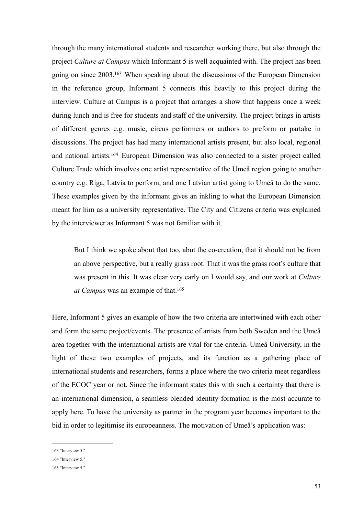through the many international students and researcher working there, but also through the project *Culture at Campus* which Informant 5 is well acquainted with. The project has been going on since 2003[.163](#page-55-0) When speaking about the discussions of the European Dimension in the reference group, Informant 5 connects this heavily to this project during the interview. Culture at Campus is a project that arranges a show that happens once a week during lunch and is free for students and staff of the university. The project brings in artists of different genres e.g. music, circus performers or authors to preform or partake in discussions. The project has had many international artists present, but also local, regional and national artists[.164](#page-55-1) European Dimension was also connected to a sister project called Culture Trade which involves one artist representative of the Umeå region going to another country e.g. Riga, Latvia to perform, and one Latvian artist going to Umeå to do the same. These examples given by the informant gives an inkling to what the European Dimension meant for him as a university representative. The City and Citizens criteria was explained by the interviewer as Informant 5 was not familiar with it.

 But I think we spoke about that too, abut the co-creation, that it should not be from an above perspective, but a really grass root. That it was the grass root's culture that was present in this. It was clear very early on I would say, and our work at *Culture at Campus* was an example of that[.165](#page-55-2)

Here, Informant 5 gives an example of how the two criteria are intertwined with each other and form the same project/events. The presence of artists from both Sweden and the Umeå area together with the international artists are vital for the criteria. Umeå University, in the light of these two examples of projects, and its function as a gathering place of international students and researchers, forms a place where the two criteria meet regardless of the ECOC year or not. Since the informant states this with such a certainty that there is an international dimension, a seamless blended identity formation is the most accurate to apply here. To have the university as partner in the program year becomes important to the bid in order to legitimise its europeanness. The motivation of Umeå's application was:

<span id="page-55-0"></span><sup>163</sup> "Interview 5."

<span id="page-55-1"></span><sup>164</sup> "Interview 5."

<span id="page-55-2"></span><sup>165</sup> "Interview 5."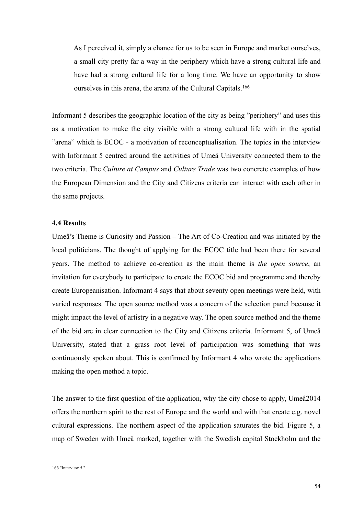As I perceived it, simply a chance for us to be seen in Europe and market ourselves, a small city pretty far a way in the periphery which have a strong cultural life and have had a strong cultural life for a long time. We have an opportunity to show ourselves in this arena, the arena of the Cultural Capitals.[166](#page-56-0)

Informant 5 describes the geographic location of the city as being "periphery" and uses this as a motivation to make the city visible with a strong cultural life with in the spatial "arena" which is ECOC - a motivation of reconceptualisation. The topics in the interview with Informant 5 centred around the activities of Umeå University connected them to the two criteria. The *Culture at Campus* and *Culture Trade* was two concrete examples of how the European Dimension and the City and Citizens criteria can interact with each other in the same projects.

### **4.4 Results**

Umeå's Theme is Curiosity and Passion – The Art of Co-Creation and was initiated by the local politicians. The thought of applying for the ECOC title had been there for several years. The method to achieve co-creation as the main theme is *the open source*, an invitation for everybody to participate to create the ECOC bid and programme and thereby create Europeanisation. Informant 4 says that about seventy open meetings were held, with varied responses. The open source method was a concern of the selection panel because it might impact the level of artistry in a negative way. The open source method and the theme of the bid are in clear connection to the City and Citizens criteria. Informant 5, of Umeå University, stated that a grass root level of participation was something that was continuously spoken about. This is confirmed by Informant 4 who wrote the applications making the open method a topic.

The answer to the first question of the application, why the city chose to apply, Umeå2014 offers the northern spirit to the rest of Europe and the world and with that create e.g. novel cultural expressions. The northern aspect of the application saturates the bid. Figure 5, a map of Sweden with Umeå marked, together with the Swedish capital Stockholm and the

<span id="page-56-0"></span><sup>166</sup> "Interview 5."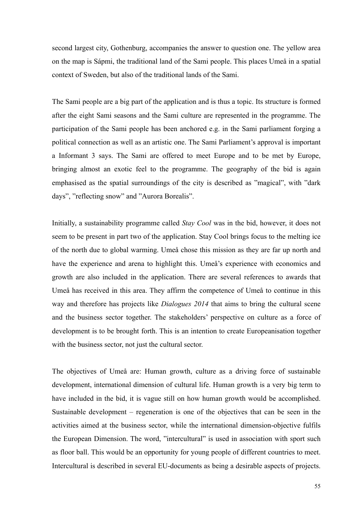second largest city, Gothenburg, accompanies the answer to question one. The yellow area on the map is Sápmi, the traditional land of the Sami people. This places Umeå in a spatial context of Sweden, but also of the traditional lands of the Sami.

The Sami people are a big part of the application and is thus a topic. Its structure is formed after the eight Sami seasons and the Sami culture are represented in the programme. The participation of the Sami people has been anchored e.g. in the Sami parliament forging a political connection as well as an artistic one. The Sami Parliament's approval is important a Informant 3 says. The Sami are offered to meet Europe and to be met by Europe, bringing almost an exotic feel to the programme. The geography of the bid is again emphasised as the spatial surroundings of the city is described as "magical", with "dark days", "reflecting snow" and "Aurora Borealis".

Initially, a sustainability programme called *Stay Cool* was in the bid, however, it does not seem to be present in part two of the application. Stay Cool brings focus to the melting ice of the north due to global warming. Umeå chose this mission as they are far up north and have the experience and arena to highlight this. Umeå's experience with economics and growth are also included in the application. There are several references to awards that Umeå has received in this area. They affirm the competence of Umeå to continue in this way and therefore has projects like *Dialogues 2014* that aims to bring the cultural scene and the business sector together. The stakeholders' perspective on culture as a force of development is to be brought forth. This is an intention to create Europeanisation together with the business sector, not just the cultural sector.

The objectives of Umeå are: Human growth, culture as a driving force of sustainable development, international dimension of cultural life. Human growth is a very big term to have included in the bid, it is vague still on how human growth would be accomplished. Sustainable development – regeneration is one of the objectives that can be seen in the activities aimed at the business sector, while the international dimension-objective fulfils the European Dimension. The word, "intercultural" is used in association with sport such as floor ball. This would be an opportunity for young people of different countries to meet. Intercultural is described in several EU-documents as being a desirable aspects of projects.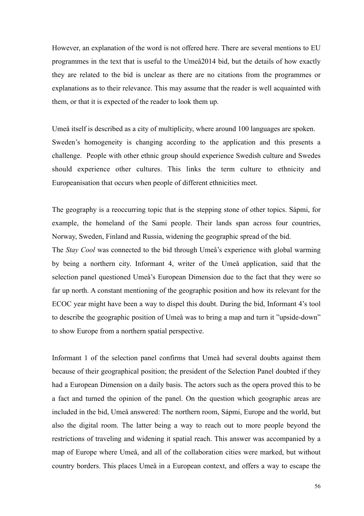However, an explanation of the word is not offered here. There are several mentions to EU programmes in the text that is useful to the Umeå2014 bid, but the details of how exactly they are related to the bid is unclear as there are no citations from the programmes or explanations as to their relevance. This may assume that the reader is well acquainted with them, or that it is expected of the reader to look them up.

Umeå itself is described as a city of multiplicity, where around 100 languages are spoken. Sweden's homogeneity is changing according to the application and this presents a challenge. People with other ethnic group should experience Swedish culture and Swedes should experience other cultures. This links the term culture to ethnicity and Europeanisation that occurs when people of different ethnicities meet.

The geography is a reoccurring topic that is the stepping stone of other topics. Sápmi, for example, the homeland of the Sami people. Their lands span across four countries, Norway, Sweden, Finland and Russia, widening the geographic spread of the bid.

The *Stay Cool* was connected to the bid through Umeå's experience with global warming by being a northern city. Informant 4, writer of the Umeå application, said that the selection panel questioned Umeå's European Dimension due to the fact that they were so far up north. A constant mentioning of the geographic position and how its relevant for the ECOC year might have been a way to dispel this doubt. During the bid, Informant 4's tool to describe the geographic position of Umeå was to bring a map and turn it "upside-down" to show Europe from a northern spatial perspective.

Informant 1 of the selection panel confirms that Umeå had several doubts against them because of their geographical position; the president of the Selection Panel doubted if they had a European Dimension on a daily basis. The actors such as the opera proved this to be a fact and turned the opinion of the panel. On the question which geographic areas are included in the bid, Umeå answered: The northern room, Sápmi, Europe and the world, but also the digital room. The latter being a way to reach out to more people beyond the restrictions of traveling and widening it spatial reach. This answer was accompanied by a map of Europe where Umeå, and all of the collaboration cities were marked, but without country borders. This places Umeå in a European context, and offers a way to escape the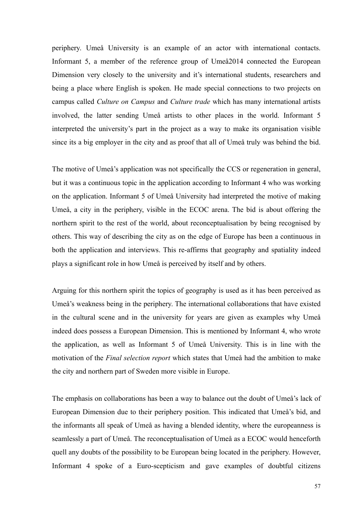periphery. Umeå University is an example of an actor with international contacts. Informant 5, a member of the reference group of Umeå2014 connected the European Dimension very closely to the university and it's international students, researchers and being a place where English is spoken. He made special connections to two projects on campus called *Culture on Campus* and *Culture trade* which has many international artists involved, the latter sending Umeå artists to other places in the world. Informant 5 interpreted the university's part in the project as a way to make its organisation visible since its a big employer in the city and as proof that all of Umeå truly was behind the bid.

The motive of Umeå's application was not specifically the CCS or regeneration in general, but it was a continuous topic in the application according to Informant 4 who was working on the application. Informant 5 of Umeå University had interpreted the motive of making Umeå, a city in the periphery, visible in the ECOC arena. The bid is about offering the northern spirit to the rest of the world, about reconceptualisation by being recognised by others. This way of describing the city as on the edge of Europe has been a continuous in both the application and interviews. This re-affirms that geography and spatiality indeed plays a significant role in how Umeå is perceived by itself and by others.

Arguing for this northern spirit the topics of geography is used as it has been perceived as Umeå's weakness being in the periphery. The international collaborations that have existed in the cultural scene and in the university for years are given as examples why Umeå indeed does possess a European Dimension. This is mentioned by Informant 4, who wrote the application, as well as Informant 5 of Umeå University. This is in line with the motivation of the *Final selection report* which states that Umeå had the ambition to make the city and northern part of Sweden more visible in Europe.

The emphasis on collaborations has been a way to balance out the doubt of Umeå's lack of European Dimension due to their periphery position. This indicated that Umeå's bid, and the informants all speak of Umeå as having a blended identity, where the europeanness is seamlessly a part of Umeå. The reconceptualisation of Umeå as a ECOC would henceforth quell any doubts of the possibility to be European being located in the periphery. However, Informant 4 spoke of a Euro-scepticism and gave examples of doubtful citizens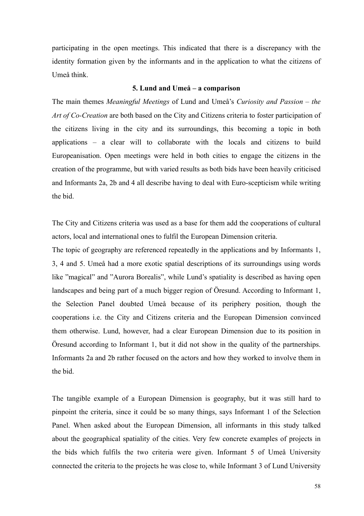participating in the open meetings. This indicated that there is a discrepancy with the identity formation given by the informants and in the application to what the citizens of Umeå think.

### **5. Lund and Umeå – a comparison**

The main themes *Meaningful Meetings* of Lund and Umeå's *Curiosity and Passion – the Art of Co-Creation* are both based on the City and Citizens criteria to foster participation of the citizens living in the city and its surroundings, this becoming a topic in both applications – a clear will to collaborate with the locals and citizens to build Europeanisation. Open meetings were held in both cities to engage the citizens in the creation of the programme, but with varied results as both bids have been heavily criticised and Informants 2a, 2b and 4 all describe having to deal with Euro-scepticism while writing the bid.

The City and Citizens criteria was used as a base for them add the cooperations of cultural actors, local and international ones to fulfil the European Dimension criteria.

The topic of geography are referenced repeatedly in the applications and by Informants 1, 3, 4 and 5. Umeå had a more exotic spatial descriptions of its surroundings using words like "magical" and "Aurora Borealis", while Lund's spatiality is described as having open landscapes and being part of a much bigger region of Öresund. According to Informant 1, the Selection Panel doubted Umeå because of its periphery position, though the cooperations i.e. the City and Citizens criteria and the European Dimension convinced them otherwise. Lund, however, had a clear European Dimension due to its position in Öresund according to Informant 1, but it did not show in the quality of the partnerships. Informants 2a and 2b rather focused on the actors and how they worked to involve them in the bid.

The tangible example of a European Dimension is geography, but it was still hard to pinpoint the criteria, since it could be so many things, says Informant 1 of the Selection Panel. When asked about the European Dimension, all informants in this study talked about the geographical spatiality of the cities. Very few concrete examples of projects in the bids which fulfils the two criteria were given. Informant 5 of Umeå University connected the criteria to the projects he was close to, while Informant 3 of Lund University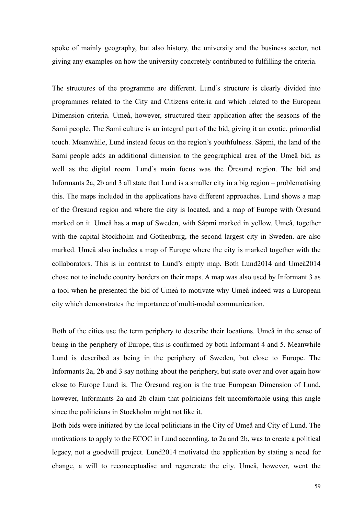spoke of mainly geography, but also history, the university and the business sector, not giving any examples on how the university concretely contributed to fulfilling the criteria.

The structures of the programme are different. Lund's structure is clearly divided into programmes related to the City and Citizens criteria and which related to the European Dimension criteria. Umeå, however, structured their application after the seasons of the Sami people. The Sami culture is an integral part of the bid, giving it an exotic, primordial touch. Meanwhile, Lund instead focus on the region's youthfulness. Sápmi, the land of the Sami people adds an additional dimension to the geographical area of the Umeå bid, as well as the digital room. Lund's main focus was the Öresund region. The bid and Informants 2a, 2b and 3 all state that Lund is a smaller city in a big region – problematising this. The maps included in the applications have different approaches. Lund shows a map of the Öresund region and where the city is located, and a map of Europe with Öresund marked on it. Umeå has a map of Sweden, with Sápmi marked in yellow. Umeå, together with the capital Stockholm and Gothenburg, the second largest city in Sweden. are also marked. Umeå also includes a map of Europe where the city is marked together with the collaborators. This is in contrast to Lund's empty map. Both Lund2014 and Umeå2014 chose not to include country borders on their maps. A map was also used by Informant 3 as a tool when he presented the bid of Umeå to motivate why Umeå indeed was a European city which demonstrates the importance of multi-modal communication.

Both of the cities use the term periphery to describe their locations. Umeå in the sense of being in the periphery of Europe, this is confirmed by both Informant 4 and 5. Meanwhile Lund is described as being in the periphery of Sweden, but close to Europe. The Informants 2a, 2b and 3 say nothing about the periphery, but state over and over again how close to Europe Lund is. The Öresund region is the true European Dimension of Lund, however, Informants 2a and 2b claim that politicians felt uncomfortable using this angle since the politicians in Stockholm might not like it.

Both bids were initiated by the local politicians in the City of Umeå and City of Lund. The motivations to apply to the ECOC in Lund according, to 2a and 2b, was to create a political legacy, not a goodwill project. Lund2014 motivated the application by stating a need for change, a will to reconceptualise and regenerate the city. Umeå, however, went the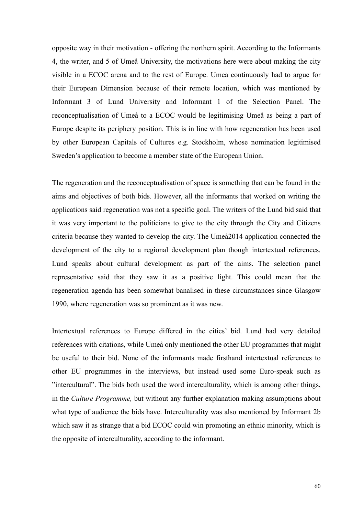opposite way in their motivation - offering the northern spirit. According to the Informants 4, the writer, and 5 of Umeå University, the motivations here were about making the city visible in a ECOC arena and to the rest of Europe. Umeå continuously had to argue for their European Dimension because of their remote location, which was mentioned by Informant 3 of Lund University and Informant 1 of the Selection Panel. The reconceptualisation of Umeå to a ECOC would be legitimising Umeå as being a part of Europe despite its periphery position. This is in line with how regeneration has been used by other European Capitals of Cultures e.g. Stockholm, whose nomination legitimised Sweden's application to become a member state of the European Union.

The regeneration and the reconceptualisation of space is something that can be found in the aims and objectives of both bids. However, all the informants that worked on writing the applications said regeneration was not a specific goal. The writers of the Lund bid said that it was very important to the politicians to give to the city through the City and Citizens criteria because they wanted to develop the city. The Umeå2014 application connected the development of the city to a regional development plan though intertextual references. Lund speaks about cultural development as part of the aims. The selection panel representative said that they saw it as a positive light. This could mean that the regeneration agenda has been somewhat banalised in these circumstances since Glasgow 1990, where regeneration was so prominent as it was new.

Intertextual references to Europe differed in the cities' bid. Lund had very detailed references with citations, while Umeå only mentioned the other EU programmes that might be useful to their bid. None of the informants made firsthand intertextual references to other EU programmes in the interviews, but instead used some Euro-speak such as "intercultural". The bids both used the word interculturality, which is among other things, in the *Culture Programme,* but without any further explanation making assumptions about what type of audience the bids have. Interculturality was also mentioned by Informant 2b which saw it as strange that a bid ECOC could win promoting an ethnic minority, which is the opposite of interculturality, according to the informant.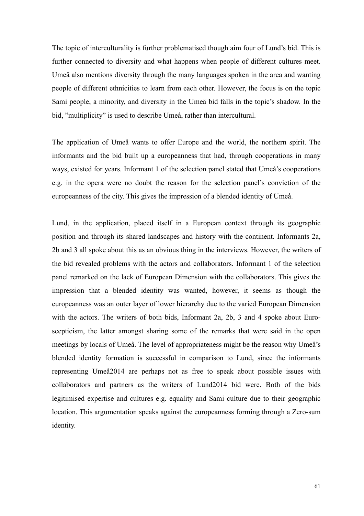The topic of interculturality is further problematised though aim four of Lund's bid. This is further connected to diversity and what happens when people of different cultures meet. Umeå also mentions diversity through the many languages spoken in the area and wanting people of different ethnicities to learn from each other. However, the focus is on the topic Sami people, a minority, and diversity in the Umeå bid falls in the topic's shadow. In the bid, "multiplicity" is used to describe Umeå, rather than intercultural.

The application of Umeå wants to offer Europe and the world, the northern spirit. The informants and the bid built up a europeanness that had, through cooperations in many ways, existed for years. Informant 1 of the selection panel stated that Umeå's cooperations e.g. in the opera were no doubt the reason for the selection panel's conviction of the europeanness of the city. This gives the impression of a blended identity of Umeå.

Lund, in the application, placed itself in a European context through its geographic position and through its shared landscapes and history with the continent. Informants 2a, 2b and 3 all spoke about this as an obvious thing in the interviews. However, the writers of the bid revealed problems with the actors and collaborators. Informant 1 of the selection panel remarked on the lack of European Dimension with the collaborators. This gives the impression that a blended identity was wanted, however, it seems as though the europeanness was an outer layer of lower hierarchy due to the varied European Dimension with the actors. The writers of both bids, Informant 2a, 2b, 3 and 4 spoke about Euroscepticism, the latter amongst sharing some of the remarks that were said in the open meetings by locals of Umeå. The level of appropriateness might be the reason why Umeå's blended identity formation is successful in comparison to Lund, since the informants representing Umeå2014 are perhaps not as free to speak about possible issues with collaborators and partners as the writers of Lund2014 bid were. Both of the bids legitimised expertise and cultures e.g. equality and Sami culture due to their geographic location. This argumentation speaks against the europeanness forming through a Zero-sum identity.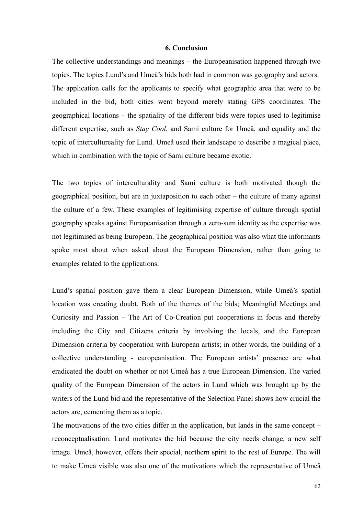#### **6. Conclusion**

The collective understandings and meanings – the Europeanisation happened through two topics. The topics Lund's and Umeå's bids both had in common was geography and actors. The application calls for the applicants to specify what geographic area that were to be included in the bid, both cities went beyond merely stating GPS coordinates. The geographical locations – the spatiality of the different bids were topics used to legitimise different expertise, such as *Stay Cool*, and Sami culture for Umeå, and equality and the topic of intercultureality for Lund. Umeå used their landscape to describe a magical place, which in combination with the topic of Sami culture became exotic.

The two topics of interculturality and Sami culture is both motivated though the geographical position, but are in juxtaposition to each other – the culture of many against the culture of a few. These examples of legitimising expertise of culture through spatial geography speaks against Europeanisation through a zero-sum identity as the expertise was not legitimised as being European. The geographical position was also what the informants spoke most about when asked about the European Dimension, rather than going to examples related to the applications.

Lund's spatial position gave them a clear European Dimension, while Umeå's spatial location was creating doubt. Both of the themes of the bids; Meaningful Meetings and Curiosity and Passion – The Art of Co-Creation put cooperations in focus and thereby including the City and Citizens criteria by involving the locals, and the European Dimension criteria by cooperation with European artists; in other words, the building of a collective understanding - europeanisation. The European artists' presence are what eradicated the doubt on whether or not Umeå has a true European Dimension. The varied quality of the European Dimension of the actors in Lund which was brought up by the writers of the Lund bid and the representative of the Selection Panel shows how crucial the actors are, cementing them as a topic.

The motivations of the two cities differ in the application, but lands in the same concept – reconceptualisation. Lund motivates the bid because the city needs change, a new self image. Umeå, however, offers their special, northern spirit to the rest of Europe. The will to make Umeå visible was also one of the motivations which the representative of Umeå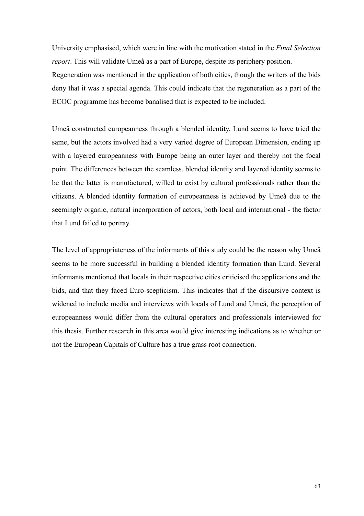University emphasised, which were in line with the motivation stated in the *Final Selection report*. This will validate Umeå as a part of Europe, despite its periphery position.

Regeneration was mentioned in the application of both cities, though the writers of the bids deny that it was a special agenda. This could indicate that the regeneration as a part of the ECOC programme has become banalised that is expected to be included.

Umeå constructed europeanness through a blended identity, Lund seems to have tried the same, but the actors involved had a very varied degree of European Dimension, ending up with a layered europeanness with Europe being an outer layer and thereby not the focal point. The differences between the seamless, blended identity and layered identity seems to be that the latter is manufactured, willed to exist by cultural professionals rather than the citizens. A blended identity formation of europeanness is achieved by Umeå due to the seemingly organic, natural incorporation of actors, both local and international - the factor that Lund failed to portray.

The level of appropriateness of the informants of this study could be the reason why Umeå seems to be more successful in building a blended identity formation than Lund. Several informants mentioned that locals in their respective cities criticised the applications and the bids, and that they faced Euro-scepticism. This indicates that if the discursive context is widened to include media and interviews with locals of Lund and Umeå, the perception of europeanness would differ from the cultural operators and professionals interviewed for this thesis. Further research in this area would give interesting indications as to whether or not the European Capitals of Culture has a true grass root connection.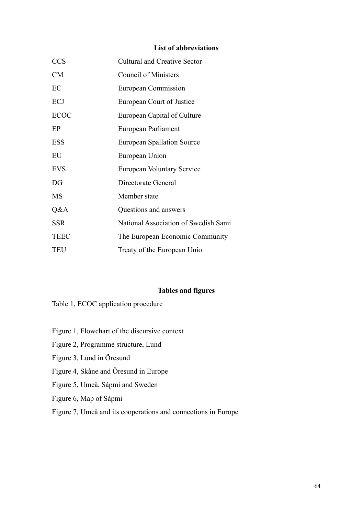# **List of abbreviations**

| <b>CCS</b>  | <b>Cultural and Creative Sector</b>  |
|-------------|--------------------------------------|
| CM          | <b>Council of Ministers</b>          |
| EC          | European Commission                  |
| ECJ         | European Court of Justice            |
| <b>ECOC</b> | European Capital of Culture          |
| EP          | European Parliament                  |
| <b>ESS</b>  | <b>European Spallation Source</b>    |
| EU          | European Union                       |
| <b>EVS</b>  | European Voluntary Service           |
| DG          | Directorate General                  |
| MS          | Member state                         |
| Q&A         | Questions and answers                |
| <b>SSR</b>  | National Association of Swedish Sami |
| <b>TEEC</b> | The European Economic Community      |
| <b>TEU</b>  | Treaty of the European Unio          |

# **Tables and figures**

Table 1, ECOC application procedure

- Figure 1, Flowchart of the discursive context
- Figure 2, Programme structure, Lund
- Figure 3, Lund in Öresund
- Figure 4, Skåne and Öresund in Europe
- Figure 5, Umeå, Sápmi and Sweden
- Figure 6, Map of Sápmi
- Figure 7, Umeå and its cooperations and connections in Europe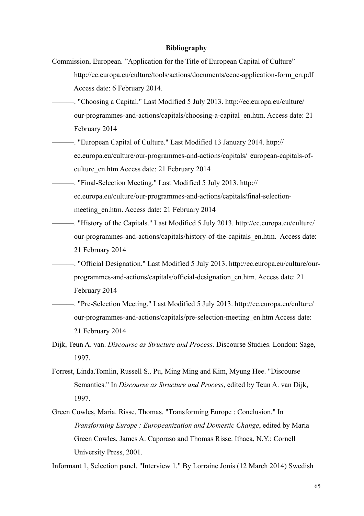#### **Bibliography**

- Commission, European. "Application for the Title of European Capital of Culture" http://ec.europa.eu/culture/tools/actions/documents/ecoc-application-form\_en.pdf Access date: 6 February 2014.
- ———. "Choosing a Capital." Last Modified 5 July 2013. http://ec.europa.eu/culture/ our-programmes-and-actions/capitals/choosing-a-capital\_en.htm. Access date: 21 February 2014
- -. "European Capital of Culture." Last Modified 13 January 2014. http:// ec.europa.eu/culture/our-programmes-and-actions/capitals/ european-capitals-of culture\_en.htm Access date: 21 February 2014
- ———. "Final-Selection Meeting." Last Modified 5 July 2013. http:// ec.europa.eu/culture/our-programmes-and-actions/capitals/final-selection meeting en.htm. Access date: 21 February 2014
	- ———. "History of the Capitals." Last Modified 5 July 2013. http://ec.europa.eu/culture/ our-programmes-and-actions/capitals/history-of-the-capitals\_en.htm. Access date: 21 February 2014
- ———. "Official Designation." Last Modified 5 July 2013. http://ec.europa.eu/culture/our programmes-and-actions/capitals/official-designation\_en.htm. Access date: 21 February 2014
- ———. "Pre-Selection Meeting." Last Modified 5 July 2013. http://ec.europa.eu/culture/ our-programmes-and-actions/capitals/pre-selection-meeting\_en.htm Access date: 21 February 2014
- Dijk, Teun A. van. *Discourse as Structure and Process*. Discourse Studies. London: Sage, 1997.
- Forrest, Linda.Tomlin, Russell S.. Pu, Ming Ming and Kim, Myung Hee. "Discourse Semantics." In *Discourse as Structure and Process*, edited by Teun A. van Dijk, 1997.
- Green Cowles, Maria. Risse, Thomas. "Transforming Europe : Conclusion." In *Transforming Europe : Europeanization and Domestic Change*, edited by Maria Green Cowles, James A. Caporaso and Thomas Risse. Ithaca, N.Y.: Cornell University Press, 2001.

Informant 1, Selection panel. "Interview 1." By Lorraine Jonis (12 March 2014) Swedish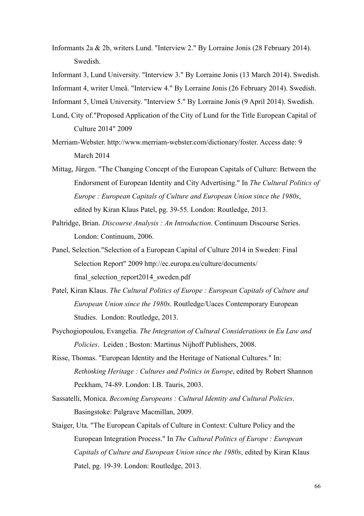- Informants 2a & 2b, writers Lund. "Interview 2." By Lorraine Jonis (28 February 2014). Swedish.
- Informant 3, Lund University. "Interview 3." By Lorraine Jonis (13 March 2014). Swedish.

Informant 4, writer Umeå. "Interview 4." By Lorraine Jonis (26 February 2014). Swedish.

Informant 5, Umeå University. "Interview 5." By Lorraine Jonis (9 April 2014). Swedish.

- Lund, City of."Proposed Application of the City of Lund for the Title European Capital of Culture 2014" 2009
- Merriam-Webster. http://www.merriam-webster.com/dictionary/foster. Access date: 9 March 2014
- Mittag, Jürgen. "The Changing Concept of the European Capitals of Culture: Between the Endorsment of European Identity and City Advertising." In *The Cultural Politics of Europe : European Capitals of Culture and European Union since the 1980s*, edited by Kiran Klaus Patel, pg. 39-55. London: Routledge, 2013.
- Paltridge, Brian. *Discourse Analysis : An Introduction*. Continuum Discourse Series. London: Continuum, 2006.
- Panel, Selection."Selection of a European Capital of Culture 2014 in Sweden: Final Selection Report" 2009 http://ec.europa.eu/culture/documents/ final\_selection\_report2014\_sweden.pdf
- Patel, Kiran Klaus. *The Cultural Politics of Europe : European Capitals of Culture and European Union since the 1980s*. Routledge/Uaces Contemporary European Studies. London: Routledge, 2013.
- Psychogiopoulou, Evangelia. *The Integration of Cultural Considerations in Eu Law and Policies*. Leiden ; Boston: Martinus Nijhoff Publishers, 2008.
- Risse, Thomas. "European Identity and the Heritage of National Cultures." In: *Rethinking Heritage : Cultures and Politics in Europe*, edited by Robert Shannon Peckham, 74-89. London: I.B. Tauris, 2003.
- Sassatelli, Monica. *Becoming Europeans : Cultural Identity and Cultural Policies*. Basingstoke: Palgrave Macmillan, 2009.
- Staiger, Uta. "The European Capitals of Culture in Context: Culture Policy and the European Integration Process." In *The Cultural Politics of Europe : European Capitals of Culture and European Union since the 1980s*, edited by Kiran Klaus Patel, pg. 19-39. London: Routledge, 2013.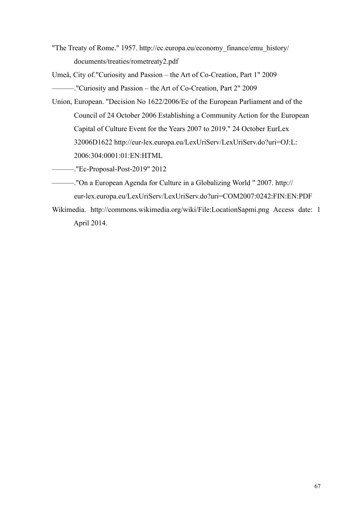"The Treaty of Rome." 1957. http://ec.europa.eu/economy\_finance/emu\_history/ documents/treaties/rometreaty2.pdf

Umeå, City of."Curiosity and Passion – the Art of Co-Creation, Part 1" 2009 ———."Curiosity and Passion – the Art of Co-Creation, Part 2" 2009

Union, European. "Decision No 1622/2006/Ec of the European Parliament and of the Council of 24 October 2006 Establishing a Community Action for the European Capital of Culture Event for the Years 2007 to 2019." 24 October EurLex 32006D1622 http://eur-lex.europa.eu/LexUriServ/LexUriServ.do?uri=OJ:L: 2006:304:0001:01:EN:HTML

———."Ec-Proposal-Post-2019" 2012

- ———."On a European Agenda for Culture in a Globalizing World " 2007. http:// eur-lex.europa.eu/LexUriServ/LexUriServ.do?uri=COM2007:0242:FIN:EN:PDF
- Wikimedia. http://commons.wikimedia.org/wiki/File:LocationSapmi.png Access date: 1 April 2014.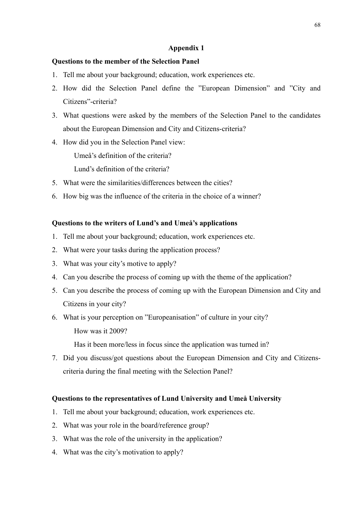# **Appendix 1**

## **Questions to the member of the Selection Panel**

- 1. Tell me about your background; education, work experiences etc.
- 2. How did the Selection Panel define the "European Dimension" and "City and Citizens"-criteria?
- 3. What questions were asked by the members of the Selection Panel to the candidates about the European Dimension and City and Citizens-criteria?
- 4. How did you in the Selection Panel view:

Umeå's definition of the criteria?

Lund's definition of the criteria?

- 5. What were the similarities/differences between the cities?
- 6. How big was the influence of the criteria in the choice of a winner?

## **Questions to the writers of Lund's and Umeå's applications**

- 1. Tell me about your background; education, work experiences etc.
- 2. What were your tasks during the application process?
- 3. What was your city's motive to apply?
- 4. Can you describe the process of coming up with the theme of the application?
- 5. Can you describe the process of coming up with the European Dimension and City and Citizens in your city?

6. What is your perception on "Europeanisation" of culture in your city? How was it 2009?

Has it been more/less in focus since the application was turned in?

7. Did you discuss/got questions about the European Dimension and City and Citizenscriteria during the final meeting with the Selection Panel?

## **Questions to the representatives of Lund University and Umeå University**

- 1. Tell me about your background; education, work experiences etc.
- 2. What was your role in the board/reference group?
- 3. What was the role of the university in the application?
- 4. What was the city's motivation to apply?